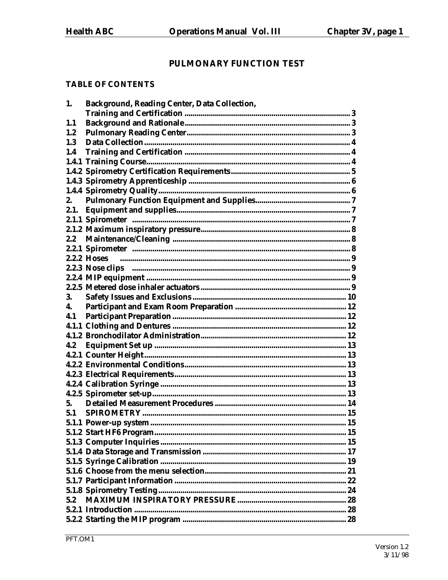# PULMONARY FUNCTION TEST

## **TABLE OF CONTENTS**

| 1.      | <b>Background, Reading Center, Data Collection,</b> |  |
|---------|-----------------------------------------------------|--|
|         |                                                     |  |
| 1.1     |                                                     |  |
| $1.2\,$ |                                                     |  |
| 1.3     |                                                     |  |
| 1.4     |                                                     |  |
|         |                                                     |  |
|         |                                                     |  |
|         |                                                     |  |
|         |                                                     |  |
| 2.      |                                                     |  |
|         |                                                     |  |
|         |                                                     |  |
|         |                                                     |  |
| $2.2\,$ |                                                     |  |
|         |                                                     |  |
|         |                                                     |  |
|         |                                                     |  |
|         |                                                     |  |
|         |                                                     |  |
| 3.      |                                                     |  |
| 4.      |                                                     |  |
| 4.1     |                                                     |  |
|         |                                                     |  |
|         |                                                     |  |
| 4.2     |                                                     |  |
|         |                                                     |  |
|         |                                                     |  |
|         |                                                     |  |
|         |                                                     |  |
|         |                                                     |  |
| 5.      |                                                     |  |
| 5.1     |                                                     |  |
|         |                                                     |  |
|         |                                                     |  |
|         |                                                     |  |
|         |                                                     |  |
|         |                                                     |  |
|         |                                                     |  |
|         |                                                     |  |
|         |                                                     |  |
| 5.2     |                                                     |  |
|         |                                                     |  |
|         |                                                     |  |
|         |                                                     |  |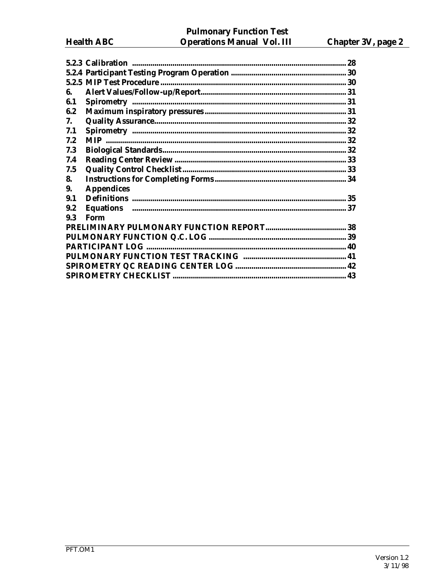|     |                   | 28 |
|-----|-------------------|----|
|     |                   |    |
|     |                   |    |
| 6.  |                   |    |
| 6.1 |                   |    |
| 6.2 |                   |    |
| 7.  |                   |    |
| 7.1 |                   |    |
| 7.2 |                   |    |
| 7.3 |                   |    |
| 7.4 |                   |    |
| 7.5 |                   |    |
| 8.  |                   |    |
| 9.  | <b>Appendices</b> |    |
| 9.1 |                   |    |
| 9.2 |                   |    |
| 9.3 | Form              |    |
|     |                   |    |
|     |                   |    |
|     |                   |    |
|     |                   |    |
|     |                   |    |
|     |                   |    |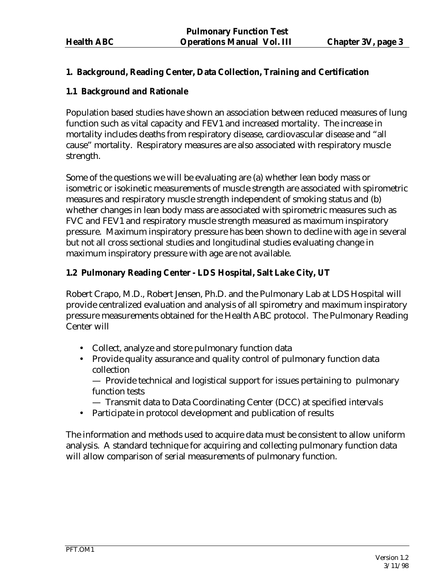## **1. Background, Reading Center, Data Collection, Training and Certification**

## **1.1 Background and Rationale**

Population based studies have shown an association between reduced measures of lung function such as vital capacity and FEV1 and increased mortality. The increase in mortality includes deaths from respiratory disease, cardiovascular disease and "all cause" mortality. Respiratory measures are also associated with respiratory muscle strength.

Some of the questions we will be evaluating are (a) whether lean body mass or isometric or isokinetic measurements of muscle strength are associated with spirometric measures and respiratory muscle strength independent of smoking status and (b) whether changes in lean body mass are associated with spirometric measures such as FVC and FEV1 and respiratory muscle strength measured as maximum inspiratory pressure. Maximum inspiratory pressure has been shown to decline with age in several but not all cross sectional studies and longitudinal studies evaluating change in maximum inspiratory pressure with age are not available.

# **1.2 Pulmonary Reading Center - LDS Hospital, Salt Lake City, UT**

Robert Crapo, M.D., Robert Jensen, Ph.D. and the Pulmonary Lab at LDS Hospital will provide centralized evaluation and analysis of all spirometry and maximum inspiratory pressure measurements obtained for the Health ABC protocol. The Pulmonary Reading Center will

- Collect, analyze and store pulmonary function data
- Provide quality assurance and quality control of pulmonary function data collection

 — Provide technical and logistical support for issues pertaining to pulmonary function tests

- Transmit data to Data Coordinating Center (DCC) at specified intervals
- Participate in protocol development and publication of results

The information and methods used to acquire data must be consistent to allow uniform analysis. A standard technique for acquiring and collecting pulmonary function data will allow comparison of serial measurements of pulmonary function.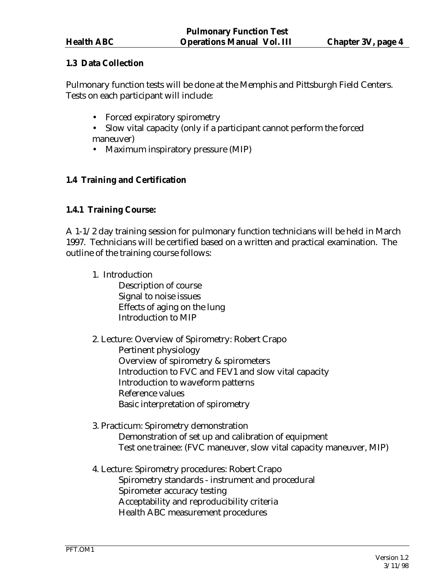# **1.3 Data Collection**

Pulmonary function tests will be done at the Memphis and Pittsburgh Field Centers. Tests on each participant will include:

- Forced expiratory spirometry
- Slow vital capacity (only if a participant cannot perform the forced maneuver)
- Maximum inspiratory pressure (MIP)

# **1.4 Training and Certification**

## **1.4.1 Training Course:**

A 1-1/2 day training session for pulmonary function technicians will be held in March 1997. Technicians will be certified based on a written and practical examination. The outline of the training course follows:

- 1. Introduction Description of course Signal to noise issues Effects of aging on the lung Introduction to MIP
- 2. Lecture: Overview of Spirometry: Robert Crapo Pertinent physiology Overview of spirometry & spirometers Introduction to FVC and FEV1 and slow vital capacity Introduction to waveform patterns Reference values Basic interpretation of spirometry

## 3. Practicum: Spirometry demonstration Demonstration of set up and calibration of equipment Test one trainee: (FVC maneuver, slow vital capacity maneuver, MIP)

4. Lecture: Spirometry procedures: Robert Crapo Spirometry standards - instrument and procedural Spirometer accuracy testing Acceptability and reproducibility criteria Health ABC measurement procedures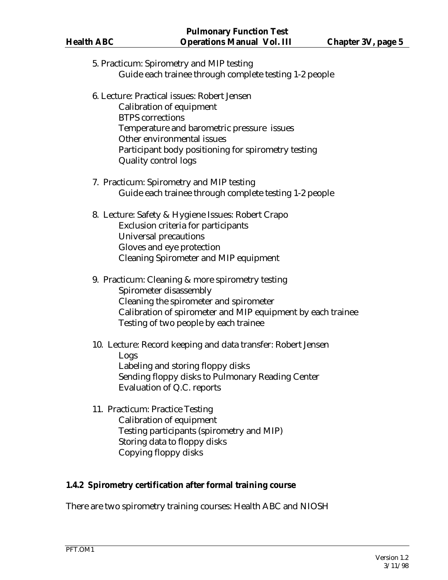| 5. Practicum: Spirometry and MIP testing<br>Guide each trainee through complete testing 1-2 people                                                                                                                                                                   |
|----------------------------------------------------------------------------------------------------------------------------------------------------------------------------------------------------------------------------------------------------------------------|
| 6. Lecture: Practical issues: Robert Jensen<br><b>Calibration of equipment</b><br><b>BTPS</b> corrections<br>Temperature and barometric pressure issues<br>Other environmental issues<br>Participant body positioning for spirometry testing<br>Quality control logs |
| 7. Practicum: Spirometry and MIP testing<br>Guide each trainee through complete testing 1-2 people                                                                                                                                                                   |
| 8. Lecture: Safety & Hygiene Issues: Robert Crapo<br>Exclusion criteria for participants<br>Universal precautions<br>Gloves and eye protection<br><b>Cleaning Spirometer and MIP equipment</b>                                                                       |
| 9. Practicum: Cleaning & more spirometry testing<br>Spirometer disassembly<br>Cleaning the spirometer and spirometer<br>Calibration of spirometer and MIP equipment by each trainee<br>Testing of two people by each trainee                                         |
| 10. Lecture: Record keeping and data transfer: Robert Jensen<br>Logs<br>Labeling and storing floppy disks<br>Sending floppy disks to Pulmonary Reading Center<br>Evaluation of Q.C. reports                                                                          |
| 11. Practicum: Practice Testing<br><b>Calibration of equipment</b><br>Testing participants (spirometry and MIP)<br>Storing data to floppy disks<br>Copying floppy disks                                                                                              |

# **1.4.2 Spirometry certification after formal training course**

There are two spirometry training courses: Health ABC and NIOSH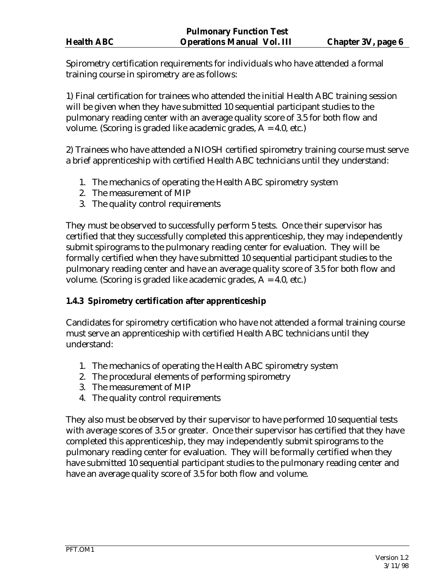Spirometry certification requirements for individuals who have attended a formal training course in spirometry are as follows:

1) Final certification for trainees who attended the initial Health ABC training session will be given when they have submitted 10 sequential participant studies to the pulmonary reading center with an average quality score of 3.5 for both flow and volume. (Scoring is graded like academic grades, A = 4.0, etc.)

2) Trainees who have attended a NIOSH certified spirometry training course must serve a brief apprenticeship with certified Health ABC technicians until they understand:

- 1. The mechanics of operating the Health ABC spirometry system
- 2. The measurement of MIP
- 3. The quality control requirements

They must be observed to successfully perform 5 tests. Once their supervisor has certified that they successfully completed this apprenticeship, they may independently submit spirograms to the pulmonary reading center for evaluation. They will be formally certified when they have submitted 10 sequential participant studies to the pulmonary reading center and have an average quality score of 3.5 for both flow and volume. (Scoring is graded like academic grades, A = 4.0, etc.)

# **1.4.3 Spirometry certification after apprenticeship**

Candidates for spirometry certification who have not attended a formal training course must serve an apprenticeship with certified Health ABC technicians until they understand:

- 1. The mechanics of operating the Health ABC spirometry system
- 2. The procedural elements of performing spirometry
- 3. The measurement of MIP
- 4. The quality control requirements

They also must be observed by their supervisor to have performed 10 sequential tests with average scores of 3.5 or greater. Once their supervisor has certified that they have completed this apprenticeship, they may independently submit spirograms to the pulmonary reading center for evaluation. They will be formally certified when they have submitted 10 sequential participant studies to the pulmonary reading center and have an average quality score of 3.5 for both flow and volume.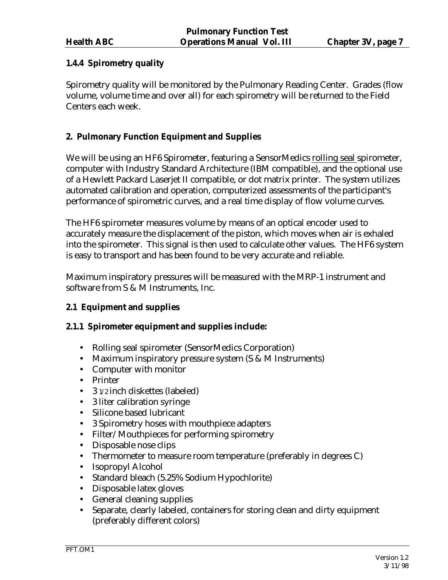# **1.4.4 Spirometry quality**

Spirometry quality will be monitored by the Pulmonary Reading Center. Grades (flow volume, volume time and over all) for each spirometry will be returned to the Field Centers each week.

# **2. Pulmonary Function Equipment and Supplies**

We will be using an HF6 Spirometer, featuring a SensorMedics rolling seal spirometer, computer with Industry Standard Architecture (IBM compatible), and the optional use of a Hewlett Packard Laserjet II compatible, or dot matrix printer. The system utilizes automated calibration and operation, computerized assessments of the participant's performance of spirometric curves, and a real time display of flow volume curves.

The HF6 spirometer measures volume by means of an optical encoder used to accurately measure the displacement of the piston, which moves when air is exhaled into the spirometer. This signal is then used to calculate other values. The HF6 system is easy to transport and has been found to be very accurate and reliable.

Maximum inspiratory pressures will be measured with the MRP-1 instrument and software from S & M Instruments, Inc.

# **2.1 Equipment and supplies**

# **2.1.1 Spirometer equipment and supplies include:**

- Rolling seal spirometer (SensorMedics Corporation)
- Maximum inspiratory pressure system (S & M Instruments)
- Computer with monitor
- Printer
- 3 1/2 inch diskettes (labeled)
- 3 liter calibration syringe
- Silicone based lubricant
- 3 Spirometry hoses with mouthpiece adapters
- Filter/Mouthpieces for performing spirometry
- Disposable nose clips
- Thermometer to measure room temperature (preferably in degrees C)
- Isopropyl Alcohol
- Standard bleach (5.25% Sodium Hypochlorite)
- Disposable latex gloves
- General cleaning supplies
- Separate, clearly labeled, containers for storing clean and dirty equipment (preferably different colors)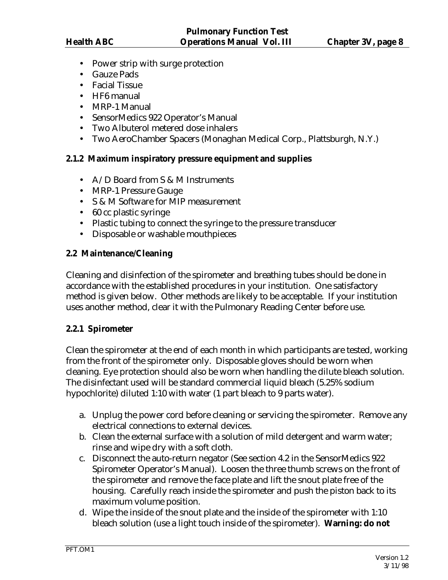- Power strip with surge protection
- Gauze Pads
- Facial Tissue
- HF6 manual
- MRP-1 Manual
- SensorMedics 922 Operator's Manual
- Two Albuterol metered dose inhalers
- Two AeroChamber Spacers (Monaghan Medical Corp., Plattsburgh, N.Y.)

# **2.1.2 Maximum inspiratory pressure equipment and supplies**

- A/D Board from S & M Instruments
- MRP-1 Pressure Gauge
- S & M Software for MIP measurement
- 60 cc plastic syringe
- Plastic tubing to connect the syringe to the pressure transducer
- Disposable or washable mouthpieces

## **2.2 Maintenance/Cleaning**

Cleaning and disinfection of the spirometer and breathing tubes should be done in accordance with the established procedures in your institution. One satisfactory method is given below. Other methods are likely to be acceptable. If your institution uses another method, clear it with the Pulmonary Reading Center before use.

#### **2.2.1 Spirometer**

Clean the spirometer at the end of each month in which participants are tested, working from the front of the spirometer only. Disposable gloves should be worn when cleaning. Eye protection should also be worn when handling the dilute bleach solution. The disinfectant used will be standard commercial liquid bleach (5.25% sodium hypochlorite) diluted 1:10 with water (1 part bleach to 9 parts water).

- a. Unplug the power cord before cleaning or servicing the spirometer. Remove any electrical connections to external devices.
- b. Clean the external surface with a solution of mild detergent and warm water; rinse and wipe dry with a soft cloth.
- c. Disconnect the auto-return negator (See section 4.2 in the SensorMedics 922 Spirometer Operator's Manual). Loosen the three thumb screws on the front of the spirometer and remove the face plate and lift the snout plate free of the housing. Carefully reach inside the spirometer and push the piston back to its maximum volume position.
- d. Wipe the inside of the snout plate and the inside of the spirometer with 1:10 bleach solution (use a light touch inside of the spirometer). **Warning: do not**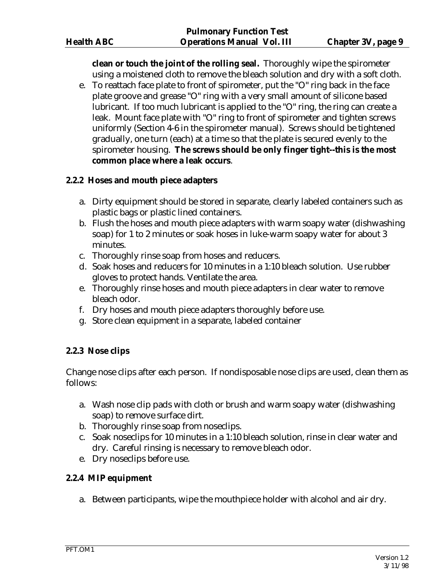**clean or touch the joint of the rolling seal.** Thoroughly wipe the spirometer using a moistened cloth to remove the bleach solution and dry with a soft cloth.

e. To reattach face plate to front of spirometer, put the "O" ring back in the face plate groove and grease "O" ring with a very small amount of silicone based lubricant. If too much lubricant is applied to the "O" ring, the ring can create a leak. Mount face plate with "O" ring to front of spirometer and tighten screws uniformly (Section 4-6 in the spirometer manual). Screws should be tightened gradually, one turn (each) at a time so that the plate is secured evenly to the spirometer housing. **The screws should be only finger tight--this is the most common place where a leak occurs**.

#### **2.2.2 Hoses and mouth piece adapters**

- a. Dirty equipment should be stored in separate, clearly labeled containers such as plastic bags or plastic lined containers.
- b. Flush the hoses and mouth piece adapters with warm soapy water (dishwashing soap) for 1 to 2 minutes or soak hoses in luke-warm soapy water for about 3 minutes.
- c. Thoroughly rinse soap from hoses and reducers.
- d. Soak hoses and reducers for 10 minutes in a 1:10 bleach solution. Use rubber gloves to protect hands. Ventilate the area.
- e. Thoroughly rinse hoses and mouth piece adapters in clear water to remove bleach odor.
- f. Dry hoses and mouth piece adapters thoroughly before use.
- g. Store clean equipment in a separate, labeled container

#### **2.2.3 Nose clips**

Change nose clips after each person. If nondisposable nose clips are used, clean them as follows:

- a. Wash nose clip pads with cloth or brush and warm soapy water (dishwashing soap) to remove surface dirt.
- b. Thoroughly rinse soap from noseclips.
- c. Soak noseclips for 10 minutes in a 1:10 bleach solution, rinse in clear water and dry. Careful rinsing is necessary to remove bleach odor.
- e. Dry noseclips before use.

#### **2.2.4 MIP equipment**

a. Between participants, wipe the mouthpiece holder with alcohol and air dry.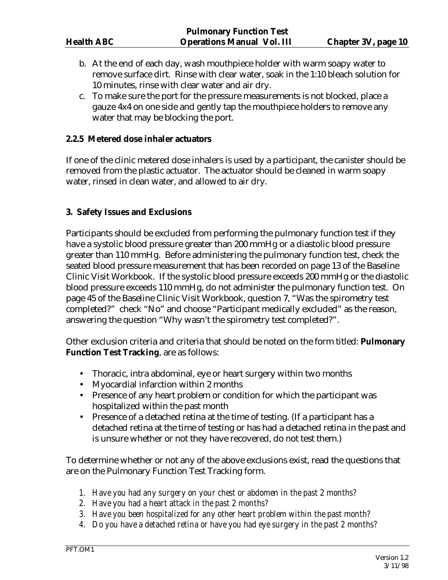- b. At the end of each day, wash mouthpiece holder with warm soapy water to remove surface dirt. Rinse with clear water, soak in the 1:10 bleach solution for 10 minutes, rinse with clear water and air dry.
- c. To make sure the port for the pressure measurements is not blocked, place a gauze 4x4 on one side and gently tap the mouthpiece holders to remove any water that may be blocking the port.

#### **2.2.5 Metered dose inhaler actuators**

If one of the clinic metered dose inhalers is used by a participant, the canister should be removed from the plastic actuator. The actuator should be cleaned in warm soapy water, rinsed in clean water, and allowed to air dry.

#### **3. Safety Issues and Exclusions**

Participants should be excluded from performing the pulmonary function test if they have a systolic blood pressure greater than 200 mmHg or a diastolic blood pressure greater than 110 mmHg. Before administering the pulmonary function test, check the seated blood pressure measurement that has been recorded on page 13 of the Baseline Clinic Visit Workbook. If the systolic blood pressure exceeds 200 mmHg or the diastolic blood pressure exceeds 110 mmHg, do not administer the pulmonary function test. On page 45 of the Baseline Clinic Visit Workbook, question 7, "Was the spirometry test completed?" check "No" and choose "Participant medically excluded" as the reason, answering the question "Why wasn't the spirometry test completed?".

Other exclusion criteria and criteria that should be noted on the form titled: **Pulmonary Function Test Tracking**, are as follows:

- Thoracic, intra abdominal, eye or heart surgery within two months
- Myocardial infarction within 2 months
- Presence of any heart problem or condition for which the participant was hospitalized within the past month
- Presence of a detached retina at the time of testing. (If a participant has a detached retina at the time of testing or has had a detached retina in the past and is unsure whether or not they have recovered, do not test them.)

To determine whether or not any of the above exclusions exist, read the questions that are on the Pulmonary Function Test Tracking form.

- *1. Have you had any surgery on your chest or abdomen in the past 2 months?*
- *2. Have you had a heart attack in the past 2 months?*
- *3. Have you been hospitalized for any other heart problem within the past month?*
- *4. Do you have a detached retina or have you had eye surgery in the past 2 months?*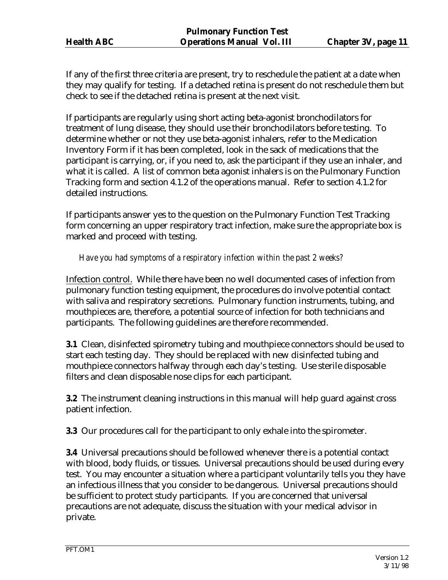If any of the first three criteria are present, try to reschedule the patient at a date when they may qualify for testing. If a detached retina is present do not reschedule them but check to see if the detached retina is present at the next visit.

If participants are regularly using short acting beta-agonist bronchodilators for treatment of lung disease, they should use their bronchodilators before testing. To determine whether or not they use beta-agonist inhalers, refer to the Medication Inventory Form if it has been completed, look in the sack of medications that the participant is carrying, or, if you need to, ask the participant if they use an inhaler, and what it is called. A list of common beta agonist inhalers is on the Pulmonary Function Tracking form and section 4.1.2 of the operations manual. Refer to section 4.1.2 for detailed instructions.

If participants answer yes to the question on the Pulmonary Function Test Tracking form concerning an upper respiratory tract infection, make sure the appropriate box is marked and proceed with testing.

## *Have you had symptoms of a respiratory infection within the past 2 weeks?*

Infection control. While there have been no well documented cases of infection from pulmonary function testing equipment, the procedures do involve potential contact with saliva and respiratory secretions. Pulmonary function instruments, tubing, and mouthpieces are, therefore, a potential source of infection for both technicians and participants. The following guidelines are therefore recommended.

**3.1** Clean, disinfected spirometry tubing and mouthpiece connectors should be used to start each testing day. They should be replaced with new disinfected tubing and mouthpiece connectors halfway through each day's testing. Use sterile disposable filters and clean disposable nose clips for each participant.

**3.2** The instrument cleaning instructions in this manual will help guard against cross patient infection.

**3.3** Our procedures call for the participant to only exhale into the spirometer.

**3.4** Universal precautions should be followed whenever there is a potential contact with blood, body fluids, or tissues. Universal precautions should be used during every test. You may encounter a situation where a participant voluntarily tells you they have an infectious illness that you consider to be dangerous. Universal precautions should be sufficient to protect study participants. If you are concerned that universal precautions are not adequate, discuss the situation with your medical advisor in private.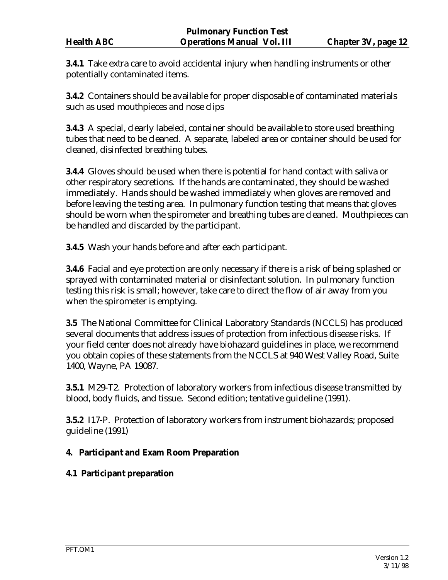**3.4.1** Take extra care to avoid accidental injury when handling instruments or other potentially contaminated items.

**3.4.2** Containers should be available for proper disposable of contaminated materials such as used mouthpieces and nose clips

**3.4.3** A special, clearly labeled, container should be available to store used breathing tubes that need to be cleaned. A separate, labeled area or container should be used for cleaned, disinfected breathing tubes.

**3.4.4** Gloves should be used when there is potential for hand contact with saliva or other respiratory secretions. If the hands are contaminated, they should be washed immediately. Hands should be washed immediately when gloves are removed and before leaving the testing area. In pulmonary function testing that means that gloves should be worn when the spirometer and breathing tubes are cleaned. Mouthpieces can be handled and discarded by the participant.

**3.4.5** Wash your hands before and after each participant.

**3.4.6** Facial and eye protection are only necessary if there is a risk of being splashed or sprayed with contaminated material or disinfectant solution. In pulmonary function testing this risk is small; however, take care to direct the flow of air away from you when the spirometer is emptying.

**3.5** The National Committee for Clinical Laboratory Standards (NCCLS) has produced several documents that address issues of protection from infectious disease risks. If your field center does not already have biohazard guidelines in place, we recommend you obtain copies of these statements from the NCCLS at 940 West Valley Road, Suite 1400, Wayne, PA 19087.

**3.5.1** M29-T2. Protection of laboratory workers from infectious disease transmitted by blood, body fluids, and tissue. Second edition; tentative guideline (1991).

**3.5.2** I17-P. Protection of laboratory workers from instrument biohazards; proposed guideline (1991)

# **4. Participant and Exam Room Preparation**

# **4.1 Participant preparation**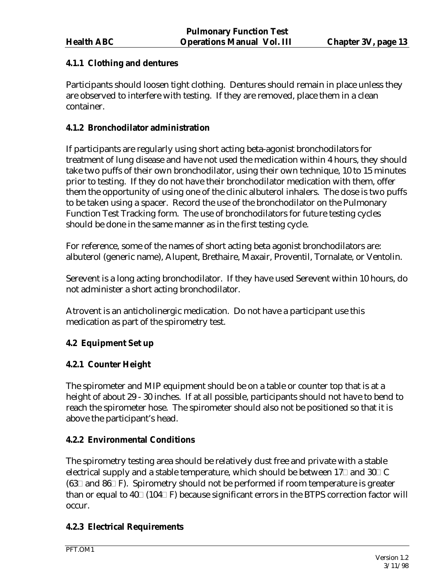# **4.1.1 Clothing and dentures**

Participants should loosen tight clothing. Dentures should remain in place unless they are observed to interfere with testing. If they are removed, place them in a clean container.

#### **4.1.2 Bronchodilator administration**

If participants are regularly using short acting beta-agonist bronchodilators for treatment of lung disease and have not used the medication within 4 hours, they should take two puffs of their own bronchodilator, using their own technique, 10 to 15 minutes prior to testing. If they do not have their bronchodilator medication with them, offer them the opportunity of using one of the clinic albuterol inhalers. The dose is two puffs to be taken using a spacer. Record the use of the bronchodilator on the Pulmonary Function Test Tracking form. The use of bronchodilators for future testing cycles should be done in the same manner as in the first testing cycle.

For reference, some of the names of short acting beta agonist bronchodilators are: albuterol (generic name), Alupent, Brethaire, Maxair, Proventil, Tornalate, or Ventolin.

Serevent is a long acting bronchodilator. If they have used Serevent within 10 hours, do not administer a short acting bronchodilator.

Atrovent is an anticholinergic medication. Do not have a participant use this medication as part of the spirometry test.

# **4.2 Equipment Set up**

# **4.2.1 Counter Height**

The spirometer and MIP equipment should be on a table or counter top that is at a height of about 29 - 30 inches. If at all possible, participants should not have to bend to reach the spirometer hose. The spirometer should also not be positioned so that it is above the participant's head.

#### **4.2.2 Environmental Conditions**

The spirometry testing area should be relatively dust free and private with a stable electrical supply and a stable temperature, which should be between 17 $\Box$  and 30 $\Box$  C  $(63\Box$  and  $86\Box$  F). Spirometry should not be performed if room temperature is greater than or equal to  $40\degree$  (104 $\degree$ F) because significant errors in the BTPS correction factor will occur.

#### **4.2.3 Electrical Requirements**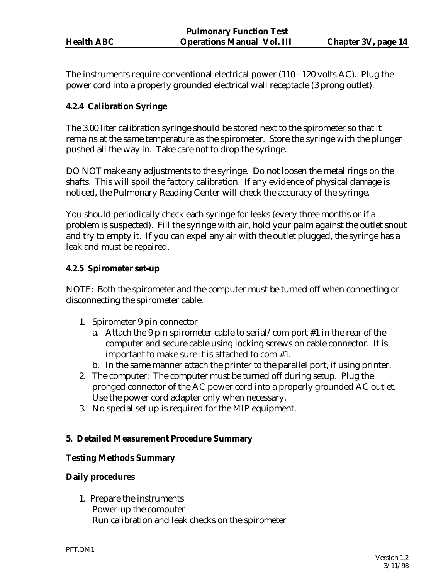The instruments require conventional electrical power (110 - 120 volts AC). Plug the power cord into a properly grounded electrical wall receptacle (3 prong outlet).

## **4.2.4 Calibration Syringe**

The 3.00 liter calibration syringe should be stored next to the spirometer so that it remains at the same temperature as the spirometer. Store the syringe with the plunger pushed all the way in. Take care not to drop the syringe.

DO NOT make any adjustments to the syringe. Do not loosen the metal rings on the shafts. This will spoil the factory calibration. If any evidence of physical damage is noticed, the Pulmonary Reading Center will check the accuracy of the syringe.

You should periodically check each syringe for leaks (every three months or if a problem is suspected). Fill the syringe with air, hold your palm against the outlet snout and try to empty it. If you can expel any air with the outlet plugged, the syringe has a leak and must be repaired.

#### **4.2.5 Spirometer set-up**

NOTE: Both the spirometer and the computer must be turned off when connecting or disconnecting the spirometer cable.

- 1. Spirometer 9 pin connector
	- a. Attach the 9 pin spirometer cable to serial/com port #1 in the rear of the computer and secure cable using locking screws on cable connector. It is important to make sure it is attached to com #1.
	- b. In the same manner attach the printer to the parallel port, if using printer.
- 2. The computer: The computer must be turned off during setup. Plug the pronged connector of the AC power cord into a properly grounded AC outlet. Use the power cord adapter only when necessary.
- 3. No special set up is required for the MIP equipment.

#### **5. Detailed Measurement Procedure Summary**

#### **Testing Methods Summary**

#### **Daily procedures**

1. Prepare the instruments Power-up the computer Run calibration and leak checks on the spirometer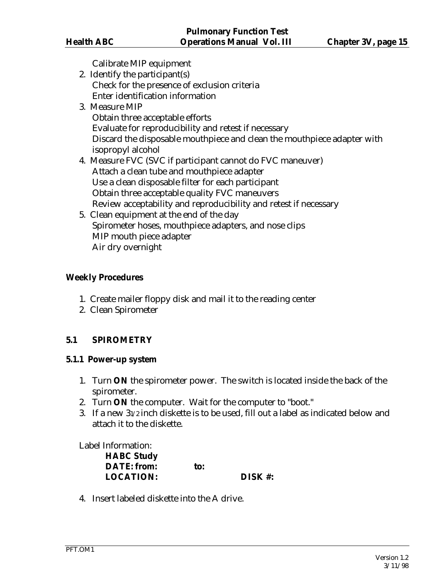Calibrate MIP equipment

- 2. Identify the participant(s) Check for the presence of exclusion criteria Enter identification information
- 3. Measure MIP Obtain three acceptable efforts Evaluate for reproducibility and retest if necessary Discard the disposable mouthpiece and clean the mouthpiece adapter with isopropyl alcohol
- 4. Measure FVC (SVC if participant cannot do FVC maneuver) Attach a clean tube and mouthpiece adapter Use a clean disposable filter for each participant Obtain three acceptable quality FVC maneuvers Review acceptability and reproducibility and retest if necessary
- 5. Clean equipment at the end of the day Spirometer hoses, mouthpiece adapters, and nose clips MIP mouth piece adapter Air dry overnight

#### **Weekly Procedures**

- 1. Create mailer floppy disk and mail it to the reading center
- 2. Clean Spirometer

# **5.1 SPIROMETRY**

#### **5.1.1 Power-up system**

- 1. Turn **ON** the spirometer power. The switch is located inside the back of the spirometer.
- 2. Turn **ON** the computer. Wait for the computer to "boot."
- 3. If a new 31/2 inch diskette is to be used, fill out a label as indicated below and attach it to the diskette.

#### Label Information:

| to: |         |
|-----|---------|
|     | DISK #: |
|     |         |

4. Insert labeled diskette into the A drive.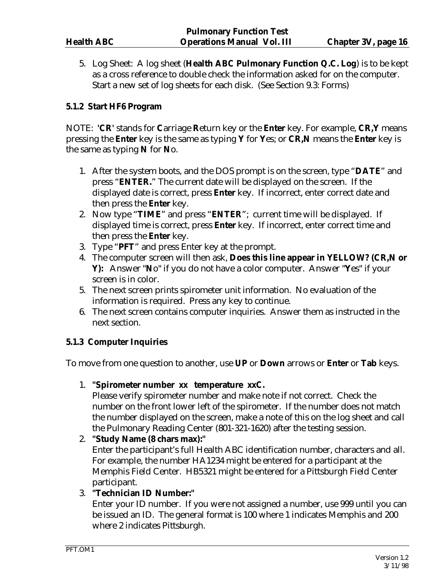5. Log Sheet: A log sheet (**Health ABC Pulmonary Function Q.C. Log**) is to be kept as a cross reference to double check the information asked for on the computer. Start a new set of log sheets for each disk. (See Section 9.3: Forms)

#### **5.1.2 Start HF6 Program**

NOTE: **'CR'** stands for **C**arriage **R**eturn key or the **Enter** key. For example, **CR,Y** means pressing the **Enter** key is the same as typing **Y** for **Y**es; or **CR,N** means the **Enter** key is the same as typing **N** for **N**o.

- 1. After the system boots, and the DOS prompt is on the screen, type "**DATE**" and press "**ENTER.**" The current date will be displayed on the screen. If the displayed date is correct, press **Enter** key. If incorrect, enter correct date and then press the **Enter** key.
- 2. Now type "**TIME**" and press "**ENTER**"; current time will be displayed. If displayed time is correct, press **Enter** key. If incorrect, enter correct time and then press the **Enter** key.
- 3. Type "**PFT**" and press Enter key at the prompt.
- 4. The computer screen will then ask, **Does this line appear in YELLOW? (CR,N or Y):** Answer "**N**o" if you do not have a color computer. Answer "**Y**es" if your screen is in color.
- 5. The next screen prints spirometer unit information. No evaluation of the information is required. Press any key to continue.
- 6. The next screen contains computer inquiries. Answer them as instructed in the next section.

# **5.1.3 Computer Inquiries**

To move from one question to another, use **UP** or **Down** arrows or **Enter** or **Tab** keys.

1. **"Spirometer number xx temperature xxC.** 

 Please verify spirometer number and make note if not correct. Check the number on the front lower left of the spirometer. If the number does not match the number displayed on the screen, make a note of this on the log sheet and call the Pulmonary Reading Center (801-321-1620) after the testing session.

2. **"Study Name (8 chars max):"**  Enter the participant's full Health ABC identification number, characters and all. For example, the number HA1234 might be entered for a participant at the Memphis Field Center. HB5321 might be entered for a Pittsburgh Field Center participant.

#### 3. **"Technician ID Number:"**

 Enter your ID number. If you were not assigned a number, use 999 until you can be issued an ID. The general format is 100 where 1 indicates Memphis and 200 where 2 indicates Pittsburgh.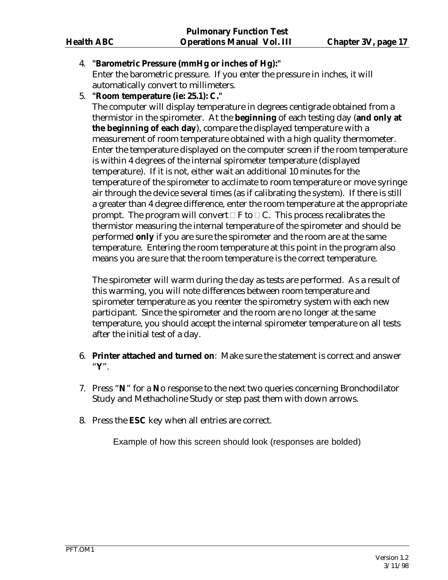# 4. **"Barometric Pressure (mmHg or inches of Hg):"**

 Enter the barometric pressure. If you enter the pressure in inches, it will automatically convert to millimeters.

5. **"Room temperature (ie: 25.1): C."**

 The computer will display temperature in degrees centigrade obtained from a thermistor in the spirometer. At the **beginning** of each testing day (**and only at the beginning of each day**), compare the displayed temperature with a measurement of room temperature obtained with a high quality thermometer. Enter the temperature displayed on the computer screen if the room temperature is within 4 degrees of the internal spirometer temperature (displayed temperature). If it is not, either wait an additional 10 minutes for the temperature of the spirometer to acclimate to room temperature or move syringe air through the device several times (as if calibrating the system). If there is still a greater than 4 degree difference, enter the room temperature at the appropriate prompt. The program will convert  $\Box$  F to  $\Box$  C. This process recalibrates the thermistor measuring the internal temperature of the spirometer and should be performed **only** if you are sure the spirometer and the room are at the same temperature. Entering the room temperature at this point in the program also means you are sure that the room temperature is the correct temperature.

 The spirometer will warm during the day as tests are performed. As a result of this warming, you will note differences between room temperature and spirometer temperature as you reenter the spirometry system with each new participant. Since the spirometer and the room are no longer at the same temperature, you should accept the internal spirometer temperature on all tests after the initial test of a day.

- 6. **Printer attached and turned on**: Make sure the statement is correct and answer "**Y**".
- 7. Press "**N**" for a **N**o response to the next two queries concerning Bronchodilator Study and Methacholine Study or step past them with down arrows.
- 8. Press the **ESC** key when all entries are correct.

Example of how this screen should look (responses are bolded)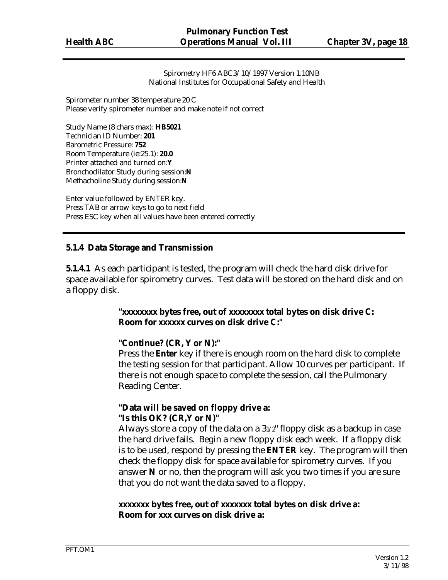Spirometry HF6 ABC3/10/1997 Version 1.10NB National Institutes for Occupational Safety and Health

Spirometer number 38 temperature 20 C Please verify spirometer number and make note if not correct

Study Name (8 chars max): **HB5021** Technician ID Number: **201** Barometric Pressure: **752** Room Temperature (ie:25.1): **20.0** Printer attached and turned on:**Y**  Bronchodilator Study during session:**N** Methacholine Study during session:**N**

Enter value followed by ENTER key. Press TAB or arrow keys to go to next field Press ESC key when all values have been entered correctly

#### **5.1.4 Data Storage and Transmission**

**5.1.4.1** As each participant is tested, the program will check the hard disk drive for space available for spirometry curves. Test data will be stored on the hard disk and on a floppy disk.

#### **"xxxxxxxx bytes free, out of xxxxxxxx total bytes on disk drive C: Room for xxxxxx curves on disk drive C:"**

#### **"Continue? (CR, Y or N):"**

Press the **Enter** key if there is enough room on the hard disk to complete the testing session for that participant. Allow 10 curves per participant. If there is not enough space to complete the session, call the Pulmonary Reading Center.

#### **"Data will be saved on floppy drive a: "Is this OK? (CR,Y or N)"**

Always store a copy of the data on a 31/2" floppy disk as a backup in case the hard drive fails. Begin a new floppy disk each week. If a floppy disk is to be used, respond by pressing the **ENTER** key. The program will then check the floppy disk for space available for spirometry curves. If you answer **N** or no, then the program will ask you two times if you are sure that you do not want the data saved to a floppy.

## **xxxxxxx bytes free, out of xxxxxxx total bytes on disk drive a: Room for xxx curves on disk drive a:**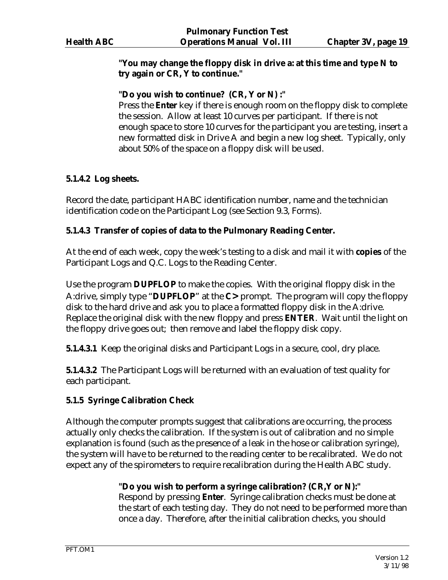## **"You may change the floppy disk in drive a: at this time and type N to try again or CR, Y to continue."**

## **"Do you wish to continue? (CR, Y or N) :"**

Press the **Enter** key if there is enough room on the floppy disk to complete the session. Allow at least 10 curves per participant. If there is not enough space to store 10 curves for the participant you are testing, insert a new formatted disk in Drive A and begin a new log sheet. Typically, only about 50% of the space on a floppy disk will be used.

## **5.1.4.2 Log sheets.**

Record the date, participant HABC identification number, name and the technician identification code on the Participant Log (see Section 9.3, Forms).

## **5.1.4.3 Transfer of copies of data to the Pulmonary Reading Center.**

At the end of each week, copy the week's testing to a disk and mail it with **copies** of the Participant Logs and Q.C. Logs to the Reading Center.

Use the program **DUPFLOP** to make the copies. With the original floppy disk in the A:drive, simply type "**DUPFLOP**" at the **C>** prompt. The program will copy the floppy disk to the hard drive and ask you to place a formatted floppy disk in the A:drive. Replace the original disk with the new floppy and press **ENTER**. Wait until the light on the floppy drive goes out; then remove and label the floppy disk copy.

**5.1.4.3.1** Keep the original disks and Participant Logs in a secure, cool, dry place.

**5.1.4.3.2** The Participant Logs will be returned with an evaluation of test quality for each participant.

#### **5.1.5 Syringe Calibration Check**

Although the computer prompts suggest that calibrations are occurring, the process actually only checks the calibration. If the system is out of calibration and no simple explanation is found (such as the presence of a leak in the hose or calibration syringe), the system will have to be returned to the reading center to be recalibrated. We do not expect any of the spirometers to require recalibration during the Health ABC study.

# **"Do you wish to perform a syringe calibration? (CR,Y or N):"**

Respond by pressing **Enter**. Syringe calibration checks must be done at the start of each testing day. They do not need to be performed more than once a day. Therefore, after the initial calibration checks, you should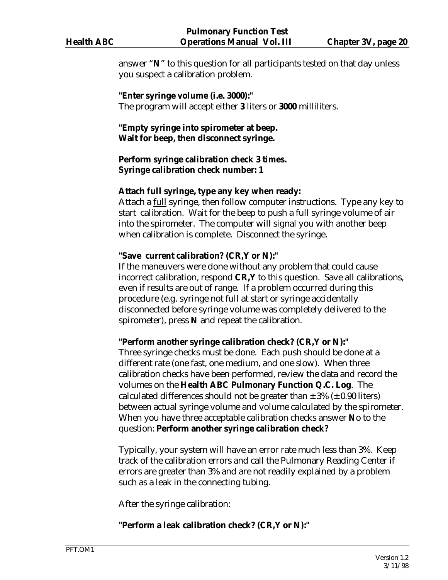answer "**N**" to this question for all participants tested on that day unless you suspect a calibration problem.

**"Enter syringe volume (i.e. 3000):"**  The program will accept either **3** liters or **3000** milliliters.

**"Empty syringe into spirometer at beep. Wait for beep, then disconnect syringe.** 

## **Perform syringe calibration check 3 times. Syringe calibration check number: 1**

#### **Attach full syringe, type any key when ready:**

Attach a full syringe, then follow computer instructions. Type any key to start calibration. Wait for the beep to push a full syringe volume of air into the spirometer. The computer will signal you with another beep when calibration is complete. Disconnect the syringe.

## **"Save current calibration? (CR,Y or N):"**

If the maneuvers were done without any problem that could cause incorrect calibration, respond **CR,Y** to this question. Save all calibrations, even if results are out of range. If a problem occurred during this procedure (e.g. syringe not full at start or syringe accidentally disconnected before syringe volume was completely delivered to the spirometer), press **N** and repeat the calibration.

# **"Perform another syringe calibration check? (CR,Y or N):"**

Three syringe checks must be done. Each push should be done at a different rate (one fast, one medium, and one slow). When three calibration checks have been performed, review the data and record the volumes on the **Health ABC Pulmonary Function Q.C. Log**. The calculated differences should not be greater than  $\pm$  3% ( $\pm$  0.90 liters) between actual syringe volume and volume calculated by the spirometer. When you have three acceptable calibration checks answer **N**o to the question: **Perform another syringe calibration check?** 

Typically, your system will have an error rate much less than 3%. Keep track of the calibration errors and call the Pulmonary Reading Center if errors are greater than 3% and are not readily explained by a problem such as a leak in the connecting tubing.

After the syringe calibration:

# **"Perform a leak calibration check? (CR,Y or N):"**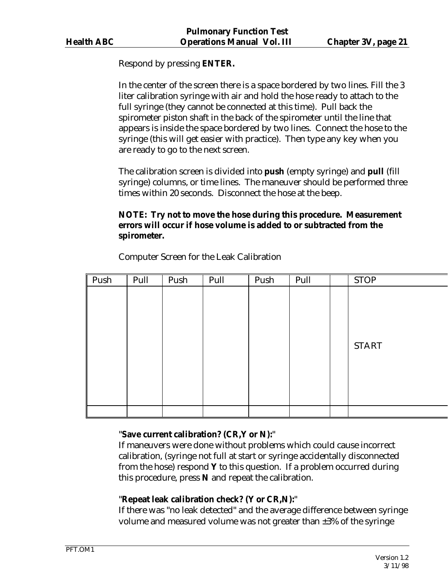Respond by pressing **ENTER.**

In the center of the screen there is a space bordered by two lines. Fill the 3 liter calibration syringe with air and hold the hose ready to attach to the full syringe (they cannot be connected at this time). Pull back the spirometer piston shaft in the back of the spirometer until the line that appears is inside the space bordered by two lines. Connect the hose to the syringe (this will get easier with practice). Then type any key when you are ready to go to the next screen.

The calibration screen is divided into **push** (empty syringe) and **pull** (fill syringe) columns, or time lines. The maneuver should be performed three times within 20 seconds. Disconnect the hose at the beep.

# **NOTE: Try not to move the hose during this procedure. Measurement errors will occur if hose volume is added to or subtracted from the spirometer.**

| Push | Pull | Push | Pull | Push | Pull | <b>STOP</b>  |
|------|------|------|------|------|------|--------------|
|      |      |      |      |      |      |              |
|      |      |      |      |      |      |              |
|      |      |      |      |      |      |              |
|      |      |      |      |      |      |              |
|      |      |      |      |      |      | <b>START</b> |
|      |      |      |      |      |      |              |
|      |      |      |      |      |      |              |
|      |      |      |      |      |      |              |
|      |      |      |      |      |      |              |
|      |      |      |      |      |      |              |

Computer Screen for the Leak Calibration

# "**Save current calibration? (CR,Y or N):**"

If maneuvers were done without problems which could cause incorrect calibration, (syringe not full at start or syringe accidentally disconnected from the hose) respond **Y** to this question. If a problem occurred during this procedure, press **N** and repeat the calibration.

# "**Repeat leak calibration check? (Y or CR,N):**"

If there was "no leak detected" and the average difference between syringe volume and measured volume was not greater than ±3% of the syringe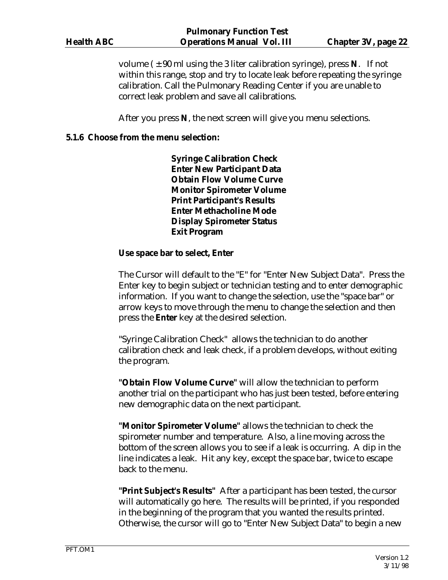volume  $(\pm 90 \text{ ml} \text{ using the 3 liter calibration syringe})$ , press **N**. If not within this range, stop and try to locate leak before repeating the syringe calibration. Call the Pulmonary Reading Center if you are unable to correct leak problem and save all calibrations.

After you press **N**, the next screen will give you menu selections.

#### **5.1.6 Choose from the menu selection:**

 **Syringe Calibration Check Enter New Participant Data Obtain Flow Volume Curve Monitor Spirometer Volume Print Participant's Results Enter Methacholine Mode Display Spirometer Status Exit Program**

#### **Use space bar to select, Enter**

The Cursor will default to the "E" for "Enter New Subject Data". Press the Enter key to begin subject or technician testing and to enter demographic information. If you want to change the selection, use the "space bar" or arrow keys to move through the menu to change the selection and then press the **Enter** key at the desired selection.

"Syringe Calibration Check" allows the technician to do another calibration check and leak check, if a problem develops, without exiting the program.

**"Obtain Flow Volume Curve"** will allow the technician to perform another trial on the participant who has just been tested, before entering new demographic data on the next participant.

**"Monitor Spirometer Volume"** allows the technician to check the spirometer number and temperature. Also, a line moving across the bottom of the screen allows you to see if a leak is occurring. A dip in the line indicates a leak. Hit any key, except the space bar, twice to escape back to the menu.

**"Print Subject's Results"** After a participant has been tested, the cursor will automatically go here. The results will be printed, if you responded in the beginning of the program that you wanted the results printed. Otherwise, the cursor will go to "Enter New Subject Data" to begin a new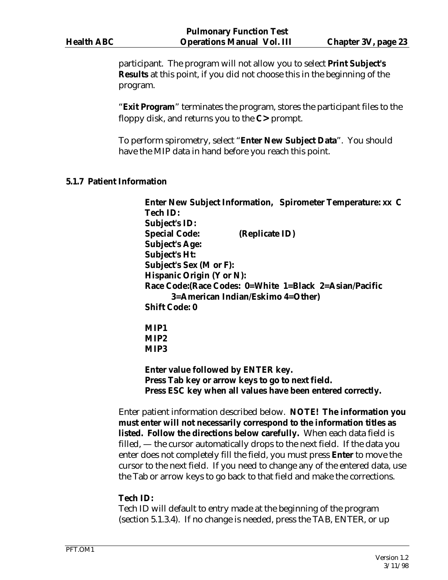participant. The program will not allow you to select **Print Subject's Results** at this point, if you did not choose this in the beginning of the program.

"**Exit Program**" terminates the program, stores the participant files to the floppy disk, and returns you to the **C>** prompt.

To perform spirometry, select "**Enter New Subject Data**". You should have the MIP data in hand before you reach this point.

#### **5.1.7 Patient Information**

 **Enter New Subject Information, Spirometer Temperature: xx C Tech ID: Subject's ID: Special Code: (Replicate ID) Subject's Age: Subject's Ht: Subject's Sex (M or F): Hispanic Origin (Y or N): Race Code:(Race Codes: 0=White 1=Black 2=Asian/Pacific 3=American Indian/Eskimo 4=Other) Shift Code: 0 MIP1 MIP2** 

 **MIP3** 

 **Enter value followed by ENTER key. Press Tab key or arrow keys to go to next field. Press ESC key when all values have been entered correctly.** 

Enter patient information described below. **NOTE! The information you must enter will not necessarily correspond to the information titles as listed. Follow the directions below carefully.** When each data field is filled, — the cursor automatically drops to the next field. If the data you enter does not completely fill the field, you must press **Enter** to move the cursor to the next field. If you need to change any of the entered data, use the Tab or arrow keys to go back to that field and make the corrections.

#### **Tech ID:**

Tech ID will default to entry made at the beginning of the program (section 5.1.3.4). If no change is needed, press the TAB, ENTER, or up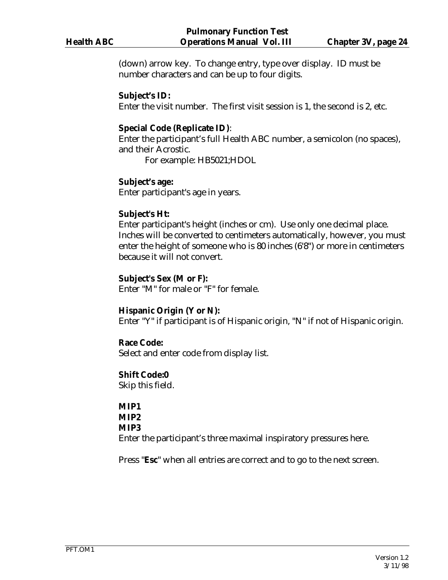(down) arrow key. To change entry, type over display. ID must be number characters and can be up to four digits.

#### **Subject's ID:**

Enter the visit number. The first visit session is 1, the second is 2, etc.

#### **Special Code (Replicate ID)**:

Enter the participant's full Health ABC number, a semicolon (no spaces), and their Acrostic.

For example: HB5021;HDOL

#### **Subject's age:**

Enter participant's age in years.

#### **Subject's Ht:**

Enter participant's height (inches or cm). Use only one decimal place. Inches will be converted to centimeters automatically, however, you must enter the height of someone who is 80 inches (6'8") or more in centimeters because it will not convert.

#### **Subject's Sex (M or F):**

Enter "M" for male or "F" for female.

#### **Hispanic Origin (Y or N):**

Enter "Y" if participant is of Hispanic origin, "N" if not of Hispanic origin.

#### **Race Code:**

Select and enter code from display list.

#### **Shift Code:0**

Skip this field.

# **MIP1**

#### **MIP2 MIP3**

Enter the participant's three maximal inspiratory pressures here.

Press "**Esc**" when all entries are correct and to go to the next screen.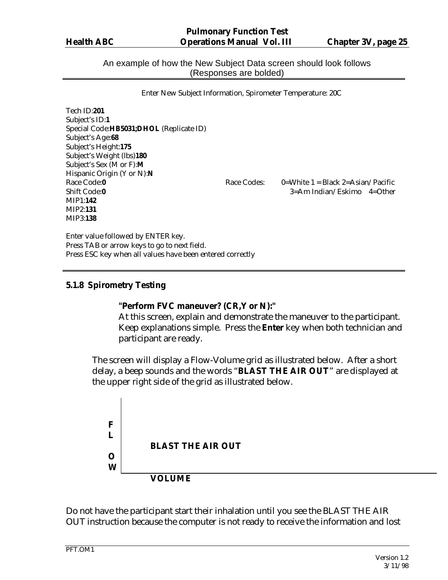An example of how the New Subject Data screen should look follows (Responses are bolded)

|  | Enter New Subject Information, Spirometer Temperature: 20C |  |
|--|------------------------------------------------------------|--|
|  |                                                            |  |

| Tech ID:201                               |             |                                      |
|-------------------------------------------|-------------|--------------------------------------|
| Subject's ID:1                            |             |                                      |
| Special Code: HB5031; DHOL (Replicate ID) |             |                                      |
| Subject's Age:68                          |             |                                      |
| Subject's Height:175                      |             |                                      |
| Subject's Weight (lbs)180                 |             |                                      |
| Subject's Sex (M or F):M                  |             |                                      |
| Hispanic Origin (Y or N):N                |             |                                      |
| Race Code:0                               | Race Codes: | $0=$ White 1 = Black 2=Asian/Pacific |
| Shift Code:0                              |             | $3 = Am$ Indian/Eskimo $4 = Other$   |
| <b>MIP1:142</b>                           |             |                                      |
| <b>MIP2:131</b>                           |             |                                      |
| MIP3:138                                  |             |                                      |
|                                           |             |                                      |

Enter value followed by ENTER key. Press TAB or arrow keys to go to next field. Press ESC key when all values have been entered correctly

#### **5.1.8 Spirometry Testing**

#### **"Perform FVC maneuver? (CR,Y or N):"**

At this screen, explain and demonstrate the maneuver to the participant. Keep explanations simple. Press the **Enter** key when both technician and participant are ready.

The screen will display a Flow-Volume grid as illustrated below. After a short delay, a beep sounds and the words "**BLAST THE AIR OUT**" are displayed at the upper right side of the grid as illustrated below.



Do not have the participant start their inhalation until you see the BLAST THE AIR OUT instruction because the computer is not ready to receive the information and lost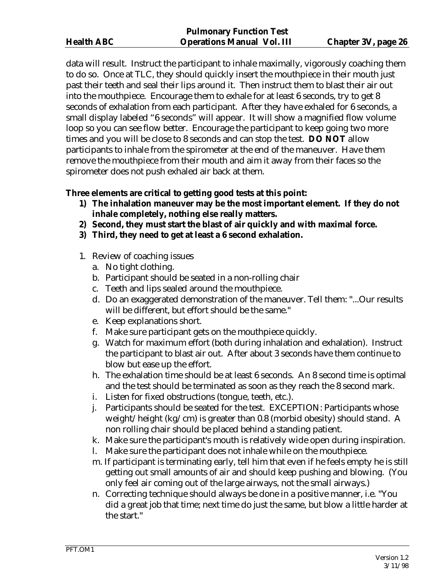data will result. Instruct the participant to inhale maximally, vigorously coaching them to do so. Once at TLC, they should quickly insert the mouthpiece in their mouth just past their teeth and seal their lips around it. Then instruct them to blast their air out into the mouthpiece. Encourage them to exhale for at least 6 seconds, try to get 8 seconds of exhalation from each participant. After they have exhaled for 6 seconds, a small display labeled "6 seconds" will appear. It will show a magnified flow volume loop so you can see flow better. Encourage the participant to keep going two more times and you will be close to 8 seconds and can stop the test. **DO NOT** allow participants to inhale from the spirometer at the end of the maneuver. Have them remove the mouthpiece from their mouth and aim it away from their faces so the spirometer does not push exhaled air back at them.

#### **Three elements are critical to getting good tests at this point:**

- **1) The inhalation maneuver may be the most important element. If they do not inhale completely, nothing else really matters.**
- **2) Second, they must start the blast of air quickly and with maximal force.**
- **3) Third, they need to get at least a 6 second exhalation.**
- 1. Review of coaching issues
	- a. No tight clothing.
	- b. Participant should be seated in a non-rolling chair
	- c. Teeth and lips sealed around the mouthpiece.
	- d. Do an exaggerated demonstration of the maneuver. Tell them: "...Our results will be different, but effort should be the same."
	- e. Keep explanations short.
	- f. Make sure participant gets on the mouthpiece quickly.
	- g. Watch for maximum effort (both during inhalation and exhalation). Instruct the participant to blast air out. After about 3 seconds have them continue to blow but ease up the effort.
	- h. The exhalation time should be at least 6 seconds. An 8 second time is optimal and the test should be terminated as soon as they reach the 8 second mark.
	- i. Listen for fixed obstructions (tongue, teeth, etc.).
	- j. Participants should be seated for the test. EXCEPTION: Participants whose weight/height (kg/cm) is greater than 0.8 (morbid obesity) should stand. A non rolling chair should be placed behind a standing patient.
	- k. Make sure the participant's mouth is relatively wide open during inspiration.
	- l. Make sure the participant does not inhale while on the mouthpiece.
	- m. If participant is terminating early, tell him that even if he feels empty he is still getting out small amounts of air and should keep pushing and blowing. (You only feel air coming out of the large airways, not the small airways.)
	- n. Correcting technique should always be done in a positive manner, i.e. "You did a great job that time; next time do just the same, but blow a little harder at the start."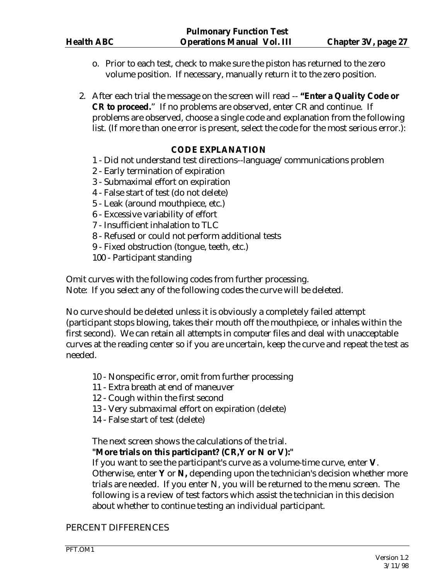- o. Prior to each test, check to make sure the piston has returned to the zero volume position. If necessary, manually return it to the zero position.
- 2. After each trial the message on the screen will read -- **"Enter a Quality Code or CR to proceed.**" If no problems are observed, enter CR and continue. If problems are observed, choose a single code and explanation from the following list. (If more than one error is present, select the code for the most serious error.):

## **CODE EXPLANATION**

- 1 Did not understand test directions--language/communications problem
- 2 Early termination of expiration
- 3 Submaximal effort on expiration
- 4 False start of test (do not delete)
- 5 Leak (around mouthpiece, etc.)
- 6 Excessive variability of effort
- 7 Insufficient inhalation to TLC
- 8 Refused or could not perform additional tests
- 9 Fixed obstruction (tongue, teeth, etc.)

100 - Participant standing

Omit curves with the following codes from further processing.

Note: If you select any of the following codes the curve will be deleted.

No curve should be deleted unless it is obviously a completely failed attempt (participant stops blowing, takes their mouth off the mouthpiece, or inhales within the first second). We can retain all attempts in computer files and deal with unacceptable curves at the reading center so if you are uncertain, keep the curve and repeat the test as needed.

- 10 Nonspecific error, omit from further processing
- 11 Extra breath at end of maneuver
- 12 Cough within the first second
- 13 Very submaximal effort on expiration (delete)
- 14 False start of test (delete)

The next screen shows the calculations of the trial.

#### **"More trials on this participant? (CR,Y or N or V):"**

If you want to see the participant's curve as a volume-time curve, enter **V**. Otherwise, enter **Y** or **N,** depending upon the technician's decision whether more trials are needed. If you enter N, you will be returned to the menu screen. The following is a review of test factors which assist the technician in this decision about whether to continue testing an individual participant.

#### PERCENT DIFFERENCES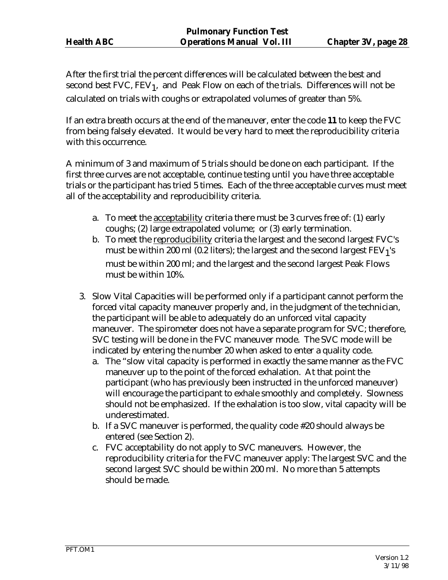After the first trial the percent differences will be calculated between the best and second best FVC,  $FEV_1$ , and Peak Flow on each of the trials. Differences will not be calculated on trials with coughs or extrapolated volumes of greater than 5%.

If an extra breath occurs at the end of the maneuver, enter the code **11** to keep the FVC from being falsely elevated. It would be very hard to meet the reproducibility criteria with this occurrence.

A minimum of 3 and maximum of 5 trials should be done on each participant. If the first three curves are not acceptable, continue testing until you have three acceptable trials or the participant has tried 5 times. Each of the three acceptable curves must meet all of the acceptability and reproducibility criteria.

- a. To meet the acceptability criteria there must be 3 curves free of: (1) early coughs; (2) large extrapolated volume; or (3) early termination.
- b. To meet the reproducibility criteria the largest and the second largest FVC's must be within 200 ml (0.2 liters); the largest and the second largest  $FEV<sub>1</sub>'s$ must be within 200 ml; and the largest and the second largest Peak Flows must be within 10%.
- 3. Slow Vital Capacities will be performed only if a participant cannot perform the forced vital capacity maneuver properly and, in the judgment of the technician, the participant will be able to adequately do an unforced vital capacity maneuver. The spirometer does not have a separate program for SVC; therefore, SVC testing will be done in the FVC maneuver mode. The SVC mode will be indicated by entering the number 20 when asked to enter a quality code.
	- a. The "slow vital capacity is performed in exactly the same manner as the FVC maneuver up to the point of the forced exhalation. At that point the participant (who has previously been instructed in the unforced maneuver) will encourage the participant to exhale smoothly and completely. Slowness should not be emphasized. If the exhalation is too slow, vital capacity will be underestimated.
	- b. If a SVC maneuver is performed, the quality code #20 should always be entered (see Section 2).
	- c. FVC acceptability do not apply to SVC maneuvers. However, the reproducibility criteria for the FVC maneuver apply: The largest SVC and the second largest SVC should be within 200 ml. No more than 5 attempts should be made.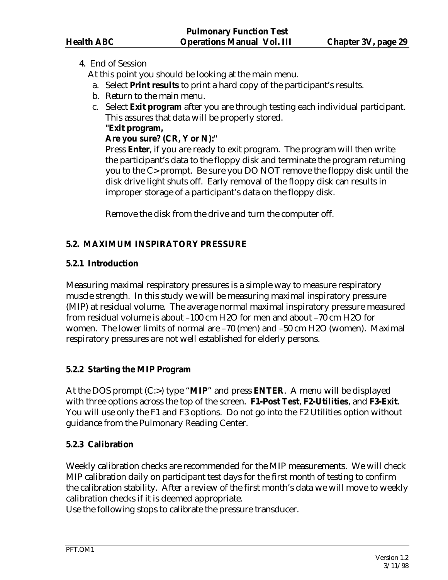## 4. End of Session

At this point you should be looking at the main menu.

- a. Select **Print results** to print a hard copy of the participant's results.
- b. Return to the main menu.
- c. Select **Exit program** after you are through testing each individual participant. This assures that data will be properly stored.

#### **"Exit program,**

# **Are you sure? (CR, Y or N):"**

 Press **Enter**, if you are ready to exit program. The program will then write the participant's data to the floppy disk and terminate the program returning you to the C> prompt. Be sure you DO NOT remove the floppy disk until the disk drive light shuts off. Early removal of the floppy disk can results in improper storage of a participant's data on the floppy disk.

Remove the disk from the drive and turn the computer off.

# **5.2. MAXIMUM INSPIRATORY PRESSURE**

## **5.2.1 Introduction**

Measuring maximal respiratory pressures is a simple way to measure respiratory muscle strength. In this study we will be measuring maximal inspiratory pressure (MIP) at residual volume. The average normal maximal inspiratory pressure measured from residual volume is about –100 cm H2O for men and about –70 cm H2O for women. The lower limits of normal are –70 (men) and –50 cm H2O (women). Maximal respiratory pressures are not well established for elderly persons.

# **5.2.2 Starting the MIP Program**

At the DOS prompt (C:>) type "**MIP**" and press **ENTER**. A menu will be displayed with three options across the top of the screen. **F1-Post Test**, **F2-Utilities**, and **F3-Exit**. You will use only the F1 and F3 options. Do not go into the F2 Utilities option without guidance from the Pulmonary Reading Center.

# **5.2.3 Calibration**

Weekly calibration checks are recommended for the MIP measurements. We will check MIP calibration daily on participant test days for the first month of testing to confirm the calibration stability. After a review of the first month's data we will move to weekly calibration checks if it is deemed appropriate.

Use the following stops to calibrate the pressure transducer.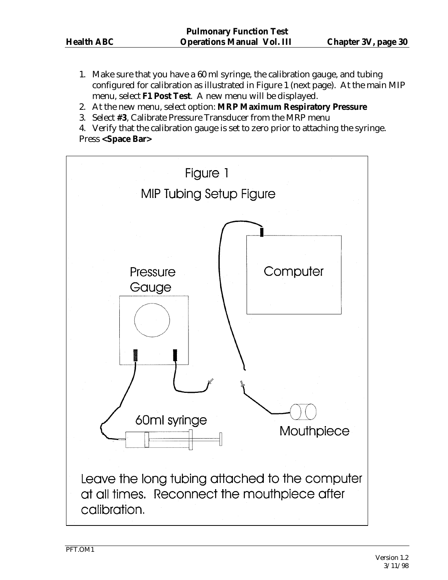- 1. Make sure that you have a 60 ml syringe, the calibration gauge, and tubing configured for calibration as illustrated in Figure 1 (next page). At the main MIP menu, select **F1 Post Test**. A new menu will be displayed.
- 2. At the new menu, select option: **MRP Maximum Respiratory Pressure**
- 3. Select **#3**, Calibrate Pressure Transducer from the MRP menu

 4. Verify that the calibration gauge is set to zero prior to attaching the syringe. Press **<Space Bar>**

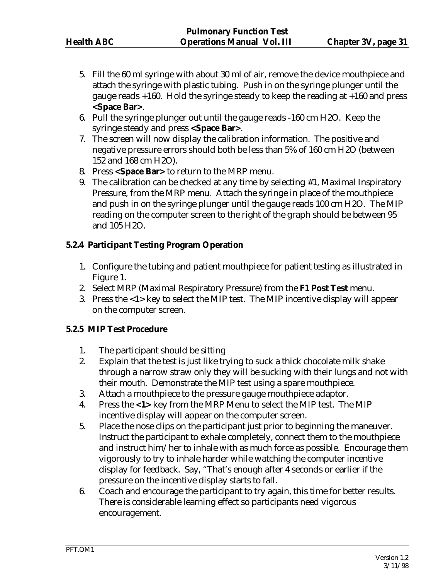- 5. Fill the 60 ml syringe with about 30 ml of air, remove the device mouthpiece and attach the syringe with plastic tubing. Push in on the syringe plunger until the gauge reads +160. Hold the syringe steady to keep the reading at +160 and press **<Space Bar>**.
- 6. Pull the syringe plunger out until the gauge reads -160 cm H2O. Keep the syringe steady and press **<Space Bar>**.
- 7. The screen will now display the calibration information. The positive and negative pressure errors should both be less than 5% of 160 cm H2O (between 152 and 168 cm H2O).
- 8. Press **<Space Bar>** to return to the MRP menu.
- 9. The calibration can be checked at any time by selecting #1, Maximal Inspiratory Pressure, from the MRP menu. Attach the syringe in place of the mouthpiece and push in on the syringe plunger until the gauge reads 100 cm H2O. The MIP reading on the computer screen to the right of the graph should be between 95 and 105 H2O.

## **5.2.4 Participant Testing Program Operation**

- 1. Configure the tubing and patient mouthpiece for patient testing as illustrated in Figure 1.
- 2. Select MRP (Maximal Respiratory Pressure) from the **F1 Post Test** menu.
- 3. Press the <1> key to select the MIP test. The MIP incentive display will appear on the computer screen.

#### **5.2.5 MIP Test Procedure**

- 1. The participant should be sitting
- 2. Explain that the test is just like trying to suck a thick chocolate milk shake through a narrow straw only they will be sucking with their lungs and not with their mouth. Demonstrate the MIP test using a spare mouthpiece.
- 3. Attach a mouthpiece to the pressure gauge mouthpiece adaptor.
- 4. Press the **<1>** key from the MRP Menu to select the MIP test. The MIP incentive display will appear on the computer screen.
- 5. Place the nose clips on the participant just prior to beginning the maneuver. Instruct the participant to exhale completely, connect them to the mouthpiece and instruct him/her to inhale with as much force as possible. Encourage them vigorously to try to inhale harder while watching the computer incentive display for feedback. Say, "That's enough after 4 seconds or earlier if the pressure on the incentive display starts to fall.
- 6. Coach and encourage the participant to try again, this time for better results. There is considerable learning effect so participants need vigorous encouragement.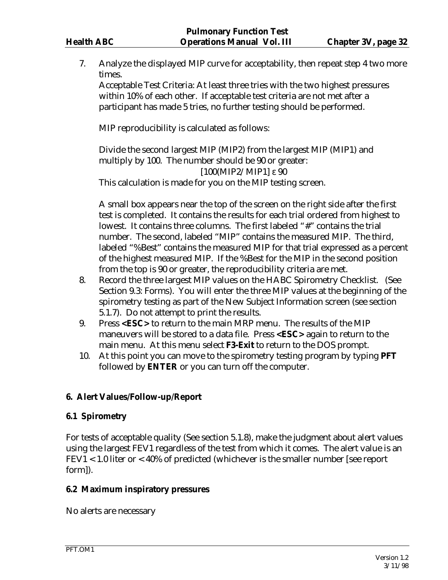7. Analyze the displayed MIP curve for acceptability, then repeat step 4 two more times.

 Acceptable Test Criteria: At least three tries with the two highest pressures within 10% of each other. If acceptable test criteria are not met after a participant has made 5 tries, no further testing should be performed.

MIP reproducibility is calculated as follows:

 Divide the second largest MIP (MIP2) from the largest MIP (MIP1) and multiply by 100. The number should be 90 or greater: [100(MIP2/MIP1] ε 90

This calculation is made for you on the MIP testing screen.

 A small box appears near the top of the screen on the right side after the first test is completed. It contains the results for each trial ordered from highest to lowest. It contains three columns. The first labeled "#" contains the trial number. The second, labeled "MIP" contains the measured MIP. The third, labeled "%Best" contains the measured MIP for that trial expressed as a percent of the highest measured MIP. If the %Best for the MIP in the second position from the top is 90 or greater, the reproducibility criteria are met.

- 8. Record the three largest MIP values on the HABC Spirometry Checklist. (See Section 9.3: Forms). You will enter the three MIP values at the beginning of the spirometry testing as part of the New Subject Information screen (see section 5.1.7). Do not attempt to print the results.
- 9. Press **<ESC>** to return to the main MRP menu. The results of the MIP maneuvers will be stored to a data file. Press **<ESC>** again to return to the main menu. At this menu select **F3-Exit** to return to the DOS prompt.
- 10. At this point you can move to the spirometry testing program by typing **PFT**  followed by **ENTER** or you can turn off the computer.

# **6. Alert Values/Follow-up/Report**

#### **6.1 Spirometry**

For tests of acceptable quality (See section 5.1.8), make the judgment about alert values using the largest FEV1 regardless of the test from which it comes. The alert value is an FEV1 < 1.0 liter or < 40% of predicted (whichever is the smaller number [see report form]).

#### **6.2 Maximum inspiratory pressures**

No alerts are necessary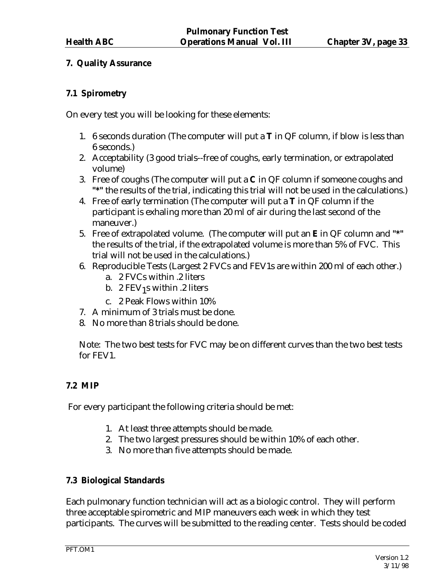# **7. Quality Assurance**

# **7.1 Spirometry**

On every test you will be looking for these elements:

- 1. 6 seconds duration (The computer will put a **T** in QF column, if blow is less than 6 seconds.)
- 2. Acceptability (3 good trials--free of coughs, early termination, or extrapolated volume)
- 3. Free of coughs (The computer will put a **C** in QF column if someone coughs and **"\*"** the results of the trial, indicating this trial will not be used in the calculations.)
- 4. Free of early termination (The computer will put a **T** in QF column if the participant is exhaling more than 20 ml of air during the last second of the maneuver.)
- 5. Free of extrapolated volume. (The computer will put an **E** in QF column and **"\*"** the results of the trial, if the extrapolated volume is more than 5% of FVC. This trial will not be used in the calculations.)
- 6. Reproducible Tests (Largest 2 FVCs and FEV1s are within 200 ml of each other.)
	- a. 2 FVCs within .2 liters
	- b. 2 FEV<sub>1</sub>s within .2 liters
	- c. 2 Peak Flows within 10%
- 7. A minimum of 3 trials must be done.
- 8. No more than 8 trials should be done.

Note: The two best tests for FVC may be on different curves than the two best tests for FEV1.

# **7.2 MIP**

For every participant the following criteria should be met:

- 1. At least three attempts should be made.
- 2. The two largest pressures should be within 10% of each other.
- 3. No more than five attempts should be made.

# **7.3 Biological Standards**

Each pulmonary function technician will act as a biologic control. They will perform three acceptable spirometric and MIP maneuvers each week in which they test participants. The curves will be submitted to the reading center. Tests should be coded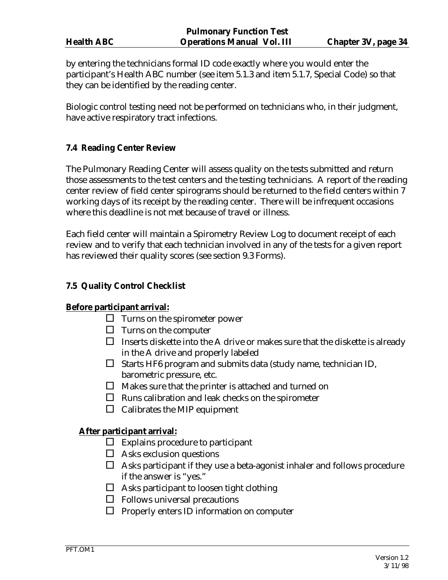| <b>Health ABC</b> |  |
|-------------------|--|
|                   |  |

by entering the technicians formal ID code exactly where you would enter the participant's Health ABC number (see item 5.1.3 and item 5.1.7, Special Code) so that they can be identified by the reading center.

Biologic control testing need not be performed on technicians who, in their judgment, have active respiratory tract infections.

# **7.4 Reading Center Review**

The Pulmonary Reading Center will assess quality on the tests submitted and return those assessments to the test centers and the testing technicians. A report of the reading center review of field center spirograms should be returned to the field centers within 7 working days of its receipt by the reading center. There will be infrequent occasions where this deadline is not met because of travel or illness.

Each field center will maintain a Spirometry Review Log to document receipt of each review and to verify that each technician involved in any of the tests for a given report has reviewed their quality scores (see section 9.3 Forms).

#### **7.5 Quality Control Checklist**

#### **Before participant arrival:**

- $\Box$  Turns on the spirometer power
- $\Box$  Turns on the computer
- $\Box$  Inserts diskette into the A drive or makes sure that the diskette is already in the A drive and properly labeled
- $\square$  Starts HF6 program and submits data (study name, technician ID, barometric pressure, etc.
- $\Box$  Makes sure that the printer is attached and turned on
- $\Box$  Runs calibration and leak checks on the spirometer
- $\Box$  Calibrates the MIP equipment

# **After participant arrival:**

- $\Box$  Explains procedure to participant
- $\Box$  Asks exclusion questions
- $\Box$  Asks participant if they use a beta-agonist inhaler and follows procedure if the answer is "yes."
- $\Box$  Asks participant to loosen tight clothing
- $\Box$  Follows universal precautions
- $\Box$  Properly enters ID information on computer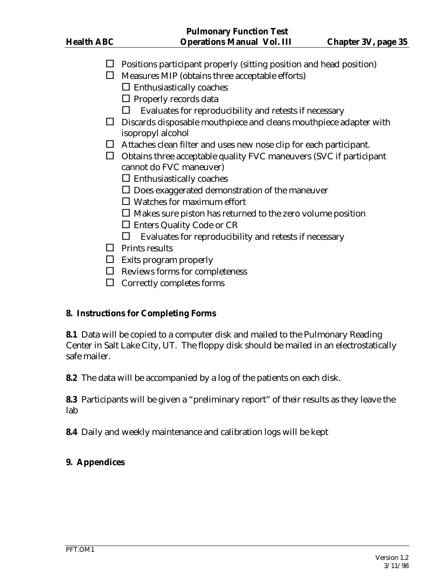- $\Box$  Positions participant properly (sitting position and head position)
- $\Box$  Measures MIP (obtains three acceptable efforts)
	- $\Box$  Enthusiastically coaches
	- $\square$  Properly records data
	- $\Box$  Evaluates for reproducibility and retests if necessary
- $\square$  Discards disposable mouthpiece and cleans mouthpiece adapter with isopropyl alcohol
- $\Box$  Attaches clean filter and uses new nose clip for each participant.
- $\Box$  Obtains three acceptable quality FVC maneuvers (SVC if participant cannot do FVC maneuver)
	- $\Box$  Enthusiastically coaches
	- $\square$  Does exaggerated demonstration of the maneuver
	- $\Box$  Watches for maximum effort
	- $\square$  Makes sure piston has returned to the zero volume position
	- □ Enters Quality Code or CR
	- $\Box$  Evaluates for reproducibility and retests if necessary
- $\Box$  Prints results
- $\Box$  Exits program properly
- $\Box$  Reviews forms for completeness
- $\Box$  Correctly completes forms

#### **8. Instructions for Completing Forms**

**8.1** Data will be copied to a computer disk and mailed to the Pulmonary Reading Center in Salt Lake City, UT. The floppy disk should be mailed in an electrostatically safe mailer.

**8.2** The data will be accompanied by a log of the patients on each disk.

**8.3** Participants will be given a "preliminary report" of their results as they leave the lab

**8.4** Daily and weekly maintenance and calibration logs will be kept

# **9. Appendices**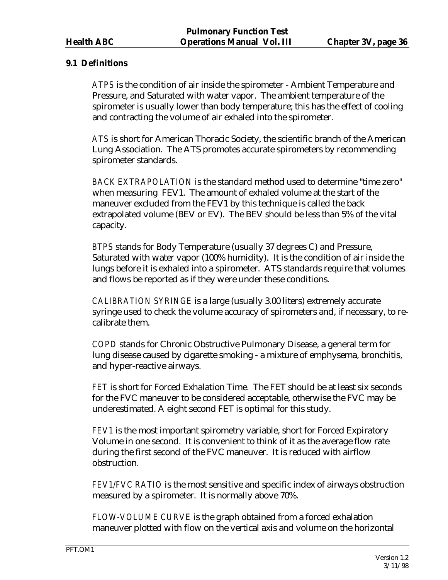## **9.1 Definitions**

*ATPS* is the condition of air inside the spirometer - Ambient Temperature and Pressure, and Saturated with water vapor. The ambient temperature of the spirometer is usually lower than body temperature; this has the effect of cooling and contracting the volume of air exhaled into the spirometer.

*ATS* is short for American Thoracic Society, the scientific branch of the American Lung Association. The ATS promotes accurate spirometers by recommending spirometer standards.

*BACK EXTRAPOLATION* is the standard method used to determine "time zero" when measuring FEV1. The amount of exhaled volume at the start of the maneuver excluded from the FEV1 by this technique is called the back extrapolated volume (BEV or EV). The BEV should be less than 5% of the vital capacity.

*BTPS* stands for Body Temperature (usually 37 degrees C) and Pressure, Saturated with water vapor (100% humidity). It is the condition of air inside the lungs before it is exhaled into a spirometer. ATS standards require that volumes and flows be reported as if they were under these conditions.

*CALIBRATION SYRINGE* is a large (usually 3.00 liters) extremely accurate syringe used to check the volume accuracy of spirometers and, if necessary, to recalibrate them.

*COPD* stands for Chronic Obstructive Pulmonary Disease, a general term for lung disease caused by cigarette smoking - a mixture of emphysema, bronchitis, and hyper-reactive airways.

*FET* is short for Forced Exhalation Time. The FET should be at least six seconds for the FVC maneuver to be considered acceptable, otherwise the FVC may be underestimated. A eight second FET is optimal for this study.

*FEV1* is the most important spirometry variable, short for Forced Expiratory Volume in one second. It is convenient to think of it as the average flow rate during the first second of the FVC maneuver. It is reduced with airflow obstruction.

*FEV1/FVC RATIO* is the most sensitive and specific index of airways obstruction measured by a spirometer. It is normally above 70%.

*FLOW-VOLUME CURVE* is the graph obtained from a forced exhalation maneuver plotted with flow on the vertical axis and volume on the horizontal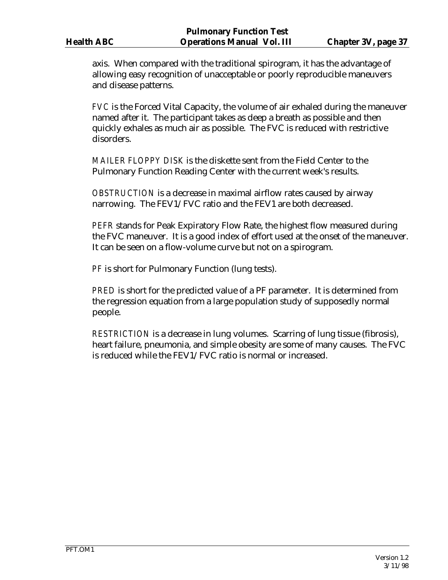axis. When compared with the traditional spirogram, it has the advantage of allowing easy recognition of unacceptable or poorly reproducible maneuvers and disease patterns.

*FVC* is the Forced Vital Capacity, the volume of air exhaled during the maneuver named after it. The participant takes as deep a breath as possible and then quickly exhales as much air as possible. The FVC is reduced with restrictive disorders.

*MAILER FLOPPY DISK* is the diskette sent from the Field Center to the Pulmonary Function Reading Center with the current week's results.

*OBSTRUCTION* is a decrease in maximal airflow rates caused by airway narrowing. The FEV1/FVC ratio and the FEV1 are both decreased.

*PEFR* stands for Peak Expiratory Flow Rate, the highest flow measured during the FVC maneuver. It is a good index of effort used at the onset of the maneuver. It can be seen on a flow-volume curve but not on a spirogram.

*PF* is short for Pulmonary Function (lung tests).

*PRED* is short for the predicted value of a PF parameter. It is determined from the regression equation from a large population study of supposedly normal people.

*RESTRICTION* is a decrease in lung volumes. Scarring of lung tissue (fibrosis), heart failure, pneumonia, and simple obesity are some of many causes. The FVC is reduced while the FEV1/FVC ratio is normal or increased.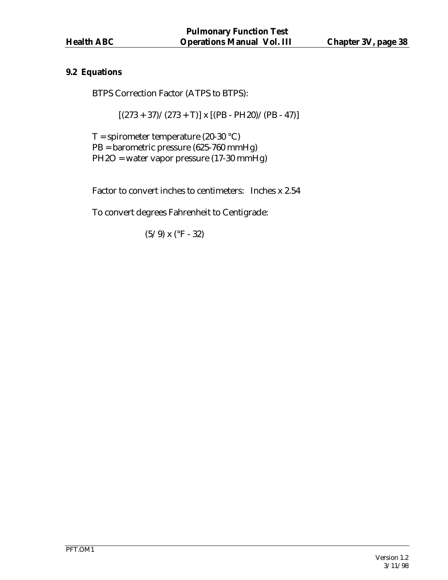## **9.2 Equations**

BTPS Correction Factor (ATPS to BTPS):

 $[(273 + 37)/(273 + T)]$  x  $[(PB - PH20)/(PB - 47)]$ 

 $T =$  spirometer temperature (20-30 °C) PB = barometric pressure (625-760 mmHg) PH2O = water vapor pressure (17-30 mmHg)

Factor to convert inches to centimeters: Inches x 2.54

To convert degrees Fahrenheit to Centigrade:

 $(5/9)$  x (°F - 32)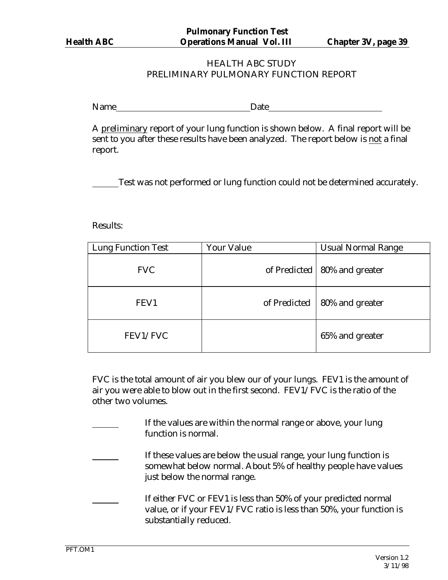## HEALTH ABC STUDY PRELIMINARY PULMONARY FUNCTION REPORT

Name Date Date

A preliminary report of your lung function is shown below. A final report will be sent to you after these results have been analyzed. The report below is not a final report.

Test was not performed or lung function could not be determined accurately.

Results:

| <b>Lung Function Test</b> | <b>Your Value</b> | <b>Usual Normal Range</b> |
|---------------------------|-------------------|---------------------------|
| <b>FVC</b>                | of Predicted      | 80% and greater           |
| FEV1                      | of Predicted      | 80% and greater           |
| FEV1/FVC                  |                   | 65% and greater           |

FVC is the total amount of air you blew our of your lungs. FEV1 is the amount of air you were able to blow out in the first second. FEV1/FVC is the ratio of the other two volumes.

- If the values are within the normal range or above, your lung function is normal.
	- If these values are below the usual range, your lung function is somewhat below normal. About 5% of healthy people have values just below the normal range.
- If either FVC or FEV1 is less than 50% of your predicted normal value, or if your FEV1/FVC ratio is less than 50%, your function is substantially reduced.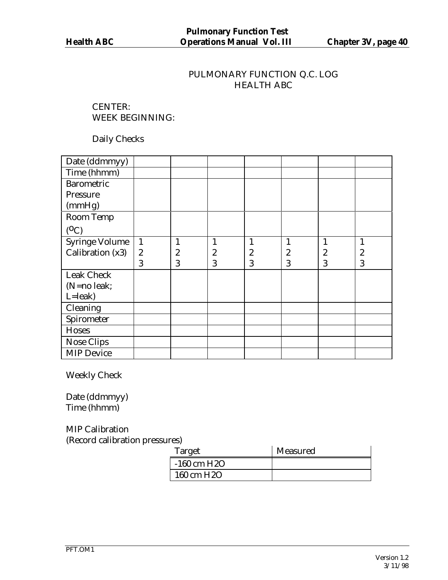# PULMONARY FUNCTION Q.C. LOG HEALTH ABC

CENTER: WEEK BEGINNING:

Daily Checks

| Date (ddmmyy)         |                  |                  |                  |                  |   |                  |                  |
|-----------------------|------------------|------------------|------------------|------------------|---|------------------|------------------|
| Time (hhmm)           |                  |                  |                  |                  |   |                  |                  |
| <b>Barometric</b>     |                  |                  |                  |                  |   |                  |                  |
| Pressure              |                  |                  |                  |                  |   |                  |                  |
| (mmHg)                |                  |                  |                  |                  |   |                  |                  |
| Room Temp             |                  |                  |                  |                  |   |                  |                  |
| $(^0C)$               |                  |                  |                  |                  |   |                  |                  |
| <b>Syringe Volume</b> | $\mathbf{1}$     | 1                | $\mathbf{1}$     |                  |   | 1                |                  |
| Calibration (x3)      | $\boldsymbol{2}$ | $\boldsymbol{2}$ | $\boldsymbol{2}$ | $\boldsymbol{2}$ | 2 | $\boldsymbol{2}$ | $\boldsymbol{2}$ |
|                       | 3                | 3                | 3                | 3                | 3 | 3                | 3                |
| <b>Leak Check</b>     |                  |                  |                  |                  |   |                  |                  |
| (N=no leak;           |                  |                  |                  |                  |   |                  |                  |
| $L =$ leak $)$        |                  |                  |                  |                  |   |                  |                  |
| Cleaning              |                  |                  |                  |                  |   |                  |                  |
| Spirometer            |                  |                  |                  |                  |   |                  |                  |
| Hoses                 |                  |                  |                  |                  |   |                  |                  |
| <b>Nose Clips</b>     |                  |                  |                  |                  |   |                  |                  |
| <b>MIP Device</b>     |                  |                  |                  |                  |   |                  |                  |

Weekly Check

Date (ddmmyy) Time (hhmm)

MIP Calibration (Record calibration pressures)

| Target                  | Measured |
|-------------------------|----------|
| $-160$ cm H2O           |          |
| 160 cm H <sub>2</sub> O |          |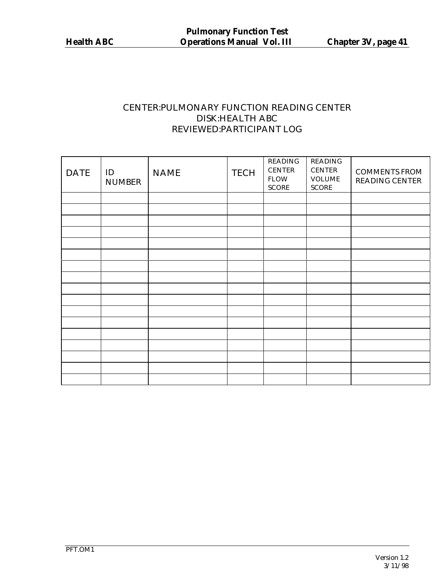# CENTER:PULMONARY FUNCTION READING CENTER DISK:HEALTH ABC REVIEWED:PARTICIPANT LOG

| <b>DATE</b> | ID<br><b>NUMBER</b> | <b>NAME</b> | <b>TECH</b> | <b>READING</b><br><b>CENTER</b><br><b>FLOW</b><br><b>SCORE</b> | <b>READING</b><br><b>CENTER</b><br><b>VOLUME</b><br><b>SCORE</b> | <b>COMMENTS FROM</b><br><b>READING CENTER</b> |
|-------------|---------------------|-------------|-------------|----------------------------------------------------------------|------------------------------------------------------------------|-----------------------------------------------|
|             |                     |             |             |                                                                |                                                                  |                                               |
|             |                     |             |             |                                                                |                                                                  |                                               |
|             |                     |             |             |                                                                |                                                                  |                                               |
|             |                     |             |             |                                                                |                                                                  |                                               |
|             |                     |             |             |                                                                |                                                                  |                                               |
|             |                     |             |             |                                                                |                                                                  |                                               |
|             |                     |             |             |                                                                |                                                                  |                                               |
|             |                     |             |             |                                                                |                                                                  |                                               |
|             |                     |             |             |                                                                |                                                                  |                                               |
|             |                     |             |             |                                                                |                                                                  |                                               |
|             |                     |             |             |                                                                |                                                                  |                                               |
|             |                     |             |             |                                                                |                                                                  |                                               |
|             |                     |             |             |                                                                |                                                                  |                                               |
|             |                     |             |             |                                                                |                                                                  |                                               |
|             |                     |             |             |                                                                |                                                                  |                                               |
|             |                     |             |             |                                                                |                                                                  |                                               |
|             |                     |             |             |                                                                |                                                                  |                                               |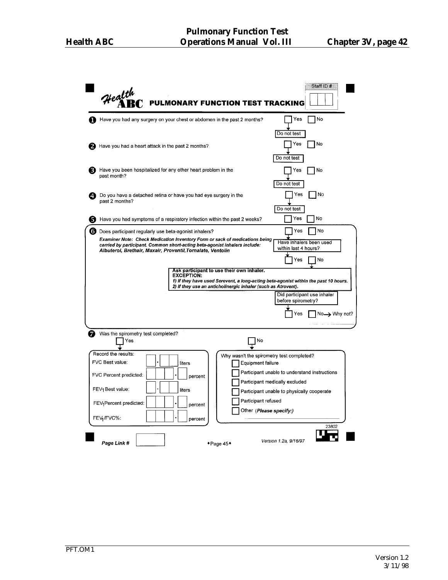|    | Health<br><b>PULMONARY FUNCTION TEST TRACKING</b>                                                                                                                                                                                                     | Staff ID #                                      |  |  |  |  |
|----|-------------------------------------------------------------------------------------------------------------------------------------------------------------------------------------------------------------------------------------------------------|-------------------------------------------------|--|--|--|--|
|    | Have you had any surgery on your chest or abdomen in the past 2 months?                                                                                                                                                                               | Yes<br>No                                       |  |  |  |  |
|    | Have you had a heart attack in the past 2 months?                                                                                                                                                                                                     | Do not test<br>No<br>Yes<br>Do not test         |  |  |  |  |
|    | Have you been hospitalized for any other heart problem in the<br>past month?                                                                                                                                                                          | No<br>Yes<br>Do not test                        |  |  |  |  |
| Δ. | Do you have a detached retina or have you had eye surgery in the<br>past 2 months?                                                                                                                                                                    | No<br>Yes<br>Do not test                        |  |  |  |  |
| 5  | Have you had symptoms of a respiratory infection within the past 2 weeks?                                                                                                                                                                             | No<br>Yes                                       |  |  |  |  |
| 6) | Does participant regularly use beta-agonist inhalers?                                                                                                                                                                                                 | No<br>Yes                                       |  |  |  |  |
|    | Examiner Note: Check Medication Inventory Form or sack of medications being<br>carried by participant. Common short-acting beta-agonist inhalers include:<br>Albuterol, Brethair, Maxair, Proventil, Tornalate, Ventolin                              | Have inhalers been used<br>within last 4 hours? |  |  |  |  |
|    |                                                                                                                                                                                                                                                       | Yes<br>No                                       |  |  |  |  |
|    | Ask participant to use their own inhaler.<br><b>EXCEPTION:</b><br>1) If they have used Serevent, a long-acting beta-agonist within the past 10 hours.<br>2) If they use an anticholinergic inhaler (such as Atrovent).<br>Did participant use inhaler |                                                 |  |  |  |  |
|    |                                                                                                                                                                                                                                                       | before spirometry?<br>No-> Why not?<br>Yes      |  |  |  |  |
| 7  | Was the spirometry test completed?<br>Yes<br>No                                                                                                                                                                                                       |                                                 |  |  |  |  |
|    | Record the results:<br>FVC Best value:                                                                                                                                                                                                                | Why wasn't the spirometry test completed?       |  |  |  |  |
|    | Equipment failure<br>liters                                                                                                                                                                                                                           | Participant unable to understand instructions   |  |  |  |  |
|    | FVC Percent predicted:<br>percent                                                                                                                                                                                                                     | Participant medically excluded                  |  |  |  |  |
|    | FEV1 Best value:<br>liters                                                                                                                                                                                                                            | Participant unable to physically cooperate      |  |  |  |  |
|    | Participant refused<br>FEV <sub>1</sub> Percent predicted:<br>percent                                                                                                                                                                                 |                                                 |  |  |  |  |
|    | FEV1/FVC%:<br>percent                                                                                                                                                                                                                                 | Other (Please specify:)                         |  |  |  |  |
|    | Page Link #<br>$\bullet$ Page 45 $\bullet$                                                                                                                                                                                                            | 23802<br>Version 1.2a, 9/16/97                  |  |  |  |  |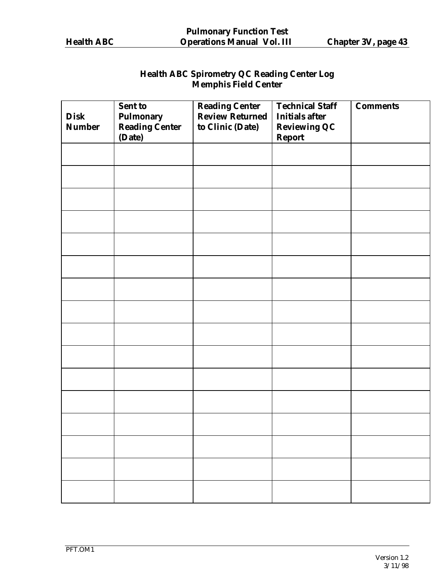# **Health ABC Spirometry QC Reading Center Log Memphis Field Center**

| <b>Disk</b>   | Sent to                                       | <b>Reading Center</b><br><b>Review Returned</b> | <b>Technical Staff</b><br><b>Initials after</b> | <b>Comments</b> |  |
|---------------|-----------------------------------------------|-------------------------------------------------|-------------------------------------------------|-----------------|--|
| <b>Number</b> | <b>Pulmonary<br/>Reading Center</b><br>(Date) | to Clinic (Date)                                | <b>Reviewing QC</b><br><b>Report</b>            |                 |  |
|               |                                               |                                                 |                                                 |                 |  |
|               |                                               |                                                 |                                                 |                 |  |
|               |                                               |                                                 |                                                 |                 |  |
|               |                                               |                                                 |                                                 |                 |  |
|               |                                               |                                                 |                                                 |                 |  |
|               |                                               |                                                 |                                                 |                 |  |
|               |                                               |                                                 |                                                 |                 |  |
|               |                                               |                                                 |                                                 |                 |  |
|               |                                               |                                                 |                                                 |                 |  |
|               |                                               |                                                 |                                                 |                 |  |
|               |                                               |                                                 |                                                 |                 |  |
|               |                                               |                                                 |                                                 |                 |  |
|               |                                               |                                                 |                                                 |                 |  |
|               |                                               |                                                 |                                                 |                 |  |
|               |                                               |                                                 |                                                 |                 |  |
|               |                                               |                                                 |                                                 |                 |  |